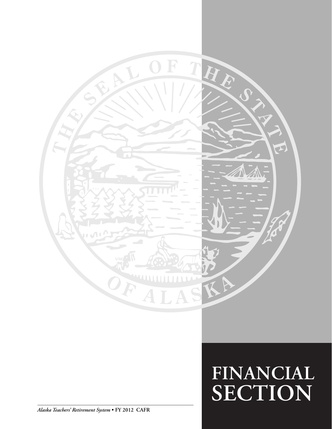

# **financial SECTION**

*Alaska Teachers' Retirement System* **• FY 2012 CAFR**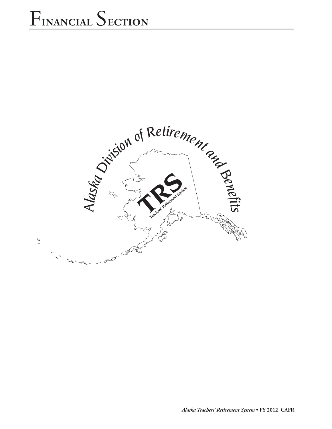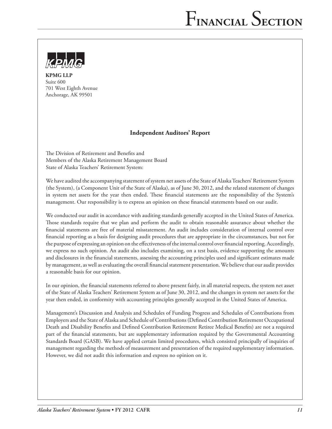

**KPMG LL** Suite 600 701 West Eighth Avenue Anchorage, AK 99501

## **Independent Auditors' Report**

The Division of Retirement and Benefits and Members of the Alaska Retirement Management Board State of Alaska Teachers' Retirement System:

We have audited the accompanying statement of system net assets of the State of Alaska Teachers' Retirement System (the System), (a Component Unit of the State of Alaska), as of June 30, 2012, and the related statement of changes in system net assets for the year then ended. These financial statements are the responsibility of the System's management. Our responsibility is to express an opinion on these financial statements based on our audit.

We conducted our audit in accordance with auditing standards generally accepted in the United States of America. Those standards require that we plan and perform the audit to obtain reasonable assurance about whether the financial statements are free of material misstatement. An audit includes consideration of internal control over financial reporting as a basis for designing audit procedures that are appropriate in the circumstances, but not for the purpose of expressing an opinion on the effectiveness of the internal control over financial reporting. Accordingly, we express no such opinion. An audit also includes examining, on a test basis, evidence supporting the amounts and disclosures in the financial statements, assessing the accounting principles used and significant estimates made by management, as well as evaluating the overall financial statement presentation. We believe that our audit provides a reasonable basis for our opinion.

In our opinion, the financial statements referred to above present fairly, in all material respects, the system net asset of the State of Alaska Teachers' Retirement System as of June 30, 2012, and the changes in system net assets for the year then ended, in conformity with accounting principles generally accepted in the United States of America.

Management's Discussion and Analysis and Schedules of Funding Progress and Schedules of Contributions from Employers and the State of Alaska and Schedule of Contributions (Defined Contribution Retirement Occupational Death and Disability Benefits and Defined Contribution Retirement Retiree Medical Benefits) are not a required part of the financial statements, but are supplementary information required by the Governmental Accounting Standards Board (GASB). We have applied certain limited procedures, which consisted principally of inquiries of management regarding the methods of measurement and presentation of the required supplementary information. However, we did not audit this information and express no opinion on it.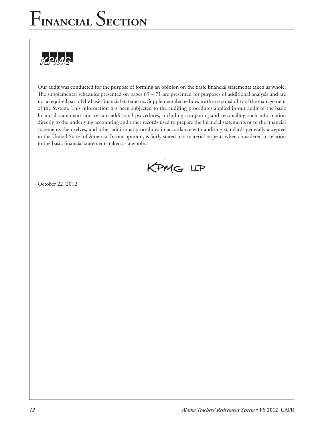

Our audit was conducted for the purpose of forming an opinion on the basic financial statements taken as whole. The supplemental schedules presented on pages 69 – 71 are presented for purposes of additional analysis and are not a required part of the basic financial statements. Supplemental schedules are the responsibility of the management of the System. This information has been subjected to the auditing procedures applied in our audit of the basic financial statements and certain additional procedures, including comparing and reconciling such information directly to the underlying accounting and other records used to prepare the financial statements or to the financial statements themselves, and other additional procedures in accordance with auditing standards generally accepted in the United States of America. In our opinion, is fairly stated in a material respects when considered in relation to the basic financial statements taken as a whole.

KPMG LLP

October 22, 2012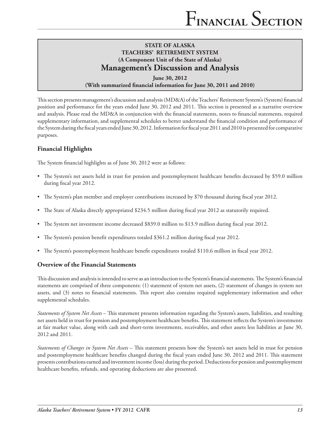## **STATE OF ALASKA TEACHERS' RETIREMENT SYSTEM (A Component Unit of the State of Alaska) Management's Discussion and Analysis**

**June 30, 2012 (With summarized financial information for June 30, 2011 and 2010)**

This section presents management's discussion and analysis (MD&A) of the Teachers' Retirement System's (System) financial position and performance for the years ended June 30, 2012 and 2011. This section is presented as a narrative overview and analysis. Please read the MD&A in conjunction with the financial statements, notes to financial statements, required supplementary information, and supplemental schedules to better understand the financial condition and performance of the System during the fiscal years ended June 30, 2012. Information for fiscal year 2011 and 2010 is presented for comparative purposes.

## **Financial Highlights**

The System financial highlights as of June 30, 2012 were as follows:

- • The System's net assets held in trust for pension and postemployment healthcare benefits decreased by \$59.0 million during fiscal year 2012.
- • The System's plan member and employer contributions increased by \$70 thousand during fiscal year 2012.
- The State of Alaska directly appropriated \$234.5 million during fiscal year 2012 as statutorily required.
- • The System net investment income decreased \$839.0 million to \$13.9 million during fiscal year 2012.
- • The System's pension benefit expenditures totaled \$361.2 million during fiscal year 2012.
- • The System's postemployment healthcare benefit expenditures totaled \$110.6 million in fiscal year 2012.

#### **Overview of the Financial Statements**

This discussion and analysis is intended to serve as an introduction to the System's financial statements. The System's financial statements are comprised of three components: (1) statement of system net assets, (2) statement of changes in system net assets, and (3) notes to financial statements. This report also contains required supplementary information and other supplemental schedules.

*Statements of System Net Assets* – This statement presents information regarding the System's assets, liabilities, and resulting net assets held in trust for pension and postemployment healthcare benefits. This statement reflects the System's investments at fair market value, along with cash and short-term investments, receivables, and other assets less liabilities at June 30, 2012 and 2011.

*Statements of Changes in System Net Assets* – This statement presents how the System's net assets held in trust for pension and postemployment healthcare benefits changed during the fiscal years ended June 30, 2012 and 2011. This statement presents contributions earned and investment income (loss) during the period. Deductions for pension and postemployment healthcare benefits, refunds, and operating deductions are also presented.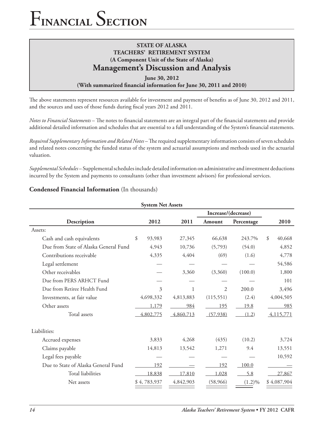## **STATE OF ALASKA TEACHERS' RETIREMENT SYSTEM (A Component Unit of the State of Alaska) Management's Discussion and Analysis**

**June 30, 2012 (With summarized financial information for June 30, 2011 and 2010)**

The above statements represent resources available for investment and payment of benefits as of June 30, 2012 and 2011, and the sources and uses of those funds during fiscal years 2012 and 2011.

*Notes to Financial Statements* – The notes to financial statements are an integral part of the financial statements and provide additional detailed information and schedules that are essential to a full understanding of the System's financial statements.

*Required Supplementary Information and Related Notes* – The required supplementary information consists of seven schedules and related notes concerning the funded status of the system and actuarial assumptions and methods used in the actuarial valuation.

*Supplemental Schedules* – Supplemental schedules include detailed information on administrative and investment deductions incurred by the System and payments to consultants (other than investment advisors) for professional services.

## **Condensed Financial Information** (In thousands)

| <b>System Net Assets</b>              |              |           |                     |            |              |  |  |  |
|---------------------------------------|--------------|-----------|---------------------|------------|--------------|--|--|--|
|                                       |              |           | Increase/(decrease) |            |              |  |  |  |
| Description                           | 2012         | 2011      | Amount              | Percentage | 2010         |  |  |  |
| Assets:                               |              |           |                     |            |              |  |  |  |
| Cash and cash equivalents             | \$<br>93,983 | 27,345    | 66,638              | 243.7%     | \$<br>40,668 |  |  |  |
| Due from State of Alaska General Fund | 4,943        | 10,736    | (5,793)             | (54.0)     | 4,852        |  |  |  |
| Contributions receivable              | 4,335        | 4,404     | (69)                | (1.6)      | 4,778        |  |  |  |
| Legal settlement                      |              |           |                     |            | 54,586       |  |  |  |
| Other receivables                     |              | 3,360     | (3,360)             | (100.0)    | 1,800        |  |  |  |
| Due from PERS ARHCT Fund              |              |           |                     |            | 101          |  |  |  |
| Due from Retiree Health Fund          | 3            | 1         | 2                   | 200.0      | 3,496        |  |  |  |
| Investments, at fair value            | 4,698,332    | 4,813,883 | (115, 551)          | (2.4)      | 4,004,505    |  |  |  |
| Other assets                          | 1,179        | 984       | 195                 | 19.8       | 985          |  |  |  |
| Total assets                          | 4,802,775    | 4,860,713 | (57,938)            | (1.2)      | 4,115,771    |  |  |  |
| Liabilities:                          |              |           |                     |            |              |  |  |  |
| Accrued expenses                      | 3,833        | 4,268     | (435)               | (10.2)     | 3,724        |  |  |  |
| Claims payable                        | 14,813       | 13,542    | 1,271               | 9.4        | 13,551       |  |  |  |
| Legal fees payable                    |              |           |                     |            | 10,592       |  |  |  |
| Due to State of Alaska General Fund   | 192          |           | <u>192</u>          | 100.0      |              |  |  |  |
| Total liabilities                     | 18,838       | 17,810    | 1,028               | 5.8        | 27,867       |  |  |  |
| Net assets                            | \$4,783,937  | 4,842,903 | (58, 966)           | $(1.2)\%$  | \$4,087,904  |  |  |  |
|                                       |              |           |                     |            |              |  |  |  |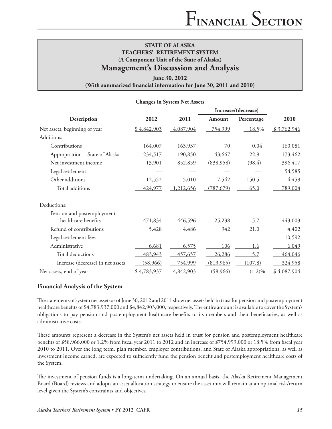## **STATE OF ALASKA TEACHERS' RETIREMENT SYSTEM (A Component Unit of the State of Alaska) Management's Discussion and Analysis**

### **June 30, 2012 (With summarized financial information for June 30, 2011 and 2010)**

| <b>Changes in System Net Assets</b> |             |           |            |                     |             |  |  |
|-------------------------------------|-------------|-----------|------------|---------------------|-------------|--|--|
|                                     |             |           |            | Increase/(decrease) |             |  |  |
| Description                         | 2012        | 2011      | Amount     | Percentage          | 2010        |  |  |
| Net assets, beginning of year       | \$4,842,903 | 4,087,904 | 754,999    | 18.5%               | \$3,762,946 |  |  |
| Additions:                          |             |           |            |                     |             |  |  |
| Contributions                       | 164,007     | 163,937   | 70         | 0.04                | 160,081     |  |  |
| Appropriation - State of Alaska     | 234,517     | 190,850   | 43,667     | 22.9                | 173,462     |  |  |
| Net investment income               | 13,901      | 852,859   | (838,958)  | (98.4)              | 396,417     |  |  |
| Legal settlement                    |             |           |            |                     | 54,585      |  |  |
| Other additions                     | 12,552      | 5,010     | 7,542      | 150.5               | 4,459       |  |  |
| Total additions                     | 424,977     | 1,212,656 | (787, 679) | 65.0                | 789,004     |  |  |
| Deductions:                         |             |           |            |                     |             |  |  |
| Pension and postemployment          |             |           |            |                     |             |  |  |
| healthcare benefits                 | 471,834     | 446,596   | 25,238     | 5.7                 | 443,003     |  |  |
| Refund of contributions             | 5,428       | 4,486     | 942        | 21.0                | 4,402       |  |  |
| Legal settlement fees               |             |           |            |                     | 10,592      |  |  |
| Administrative                      | 6,681       | 6,575     | 106        | 1.6                 | 6,049       |  |  |
| Total deductions                    | 483,943     | 457,657   | 26,286     | 5.7                 | 464,046     |  |  |
| Increase (decrease) in net assets   | (58, 966)   | 754,999   | (813,965)  | (107.8)             | 324,958     |  |  |
| Net assets, end of year             | \$4,783,937 | 4,842,903 | (58, 966)  | $(1.2)\%$           | \$4,087,904 |  |  |

#### **Financial Analysis of the System**

The statements of system net assets as of June 30, 2012 and 2011 show net assets held in trust for pension and postemployment healthcare benefits of \$4,783,937,000 and \$4,842,903,000, respectively. The entire amount is available to cover the System's obligations to pay pension and postemployment healthcare benefits to its members and their beneficiaries, as well as administrative costs.

These amounts represent a decrease in the System's net assets held in trust for pension and postemployment healthcare benefits of \$58,966,000 or 1.2% from fiscal year 2011 to 2012 and an increase of \$754,999,000 or 18.5% from fiscal year 2010 to 2011. Over the long term, plan member, employer contributions, and State of Alaska appropriations, as well as investment income earned, are expected to sufficiently fund the pension benefit and postemployment healthcare costs of the System.

The investment of pension funds is a long-term undertaking. On an annual basis, the Alaska Retirement Management Board (Board) reviews and adopts an asset allocation strategy to ensure the asset mix will remain at an optimal risk/return level given the System's constraints and objectives.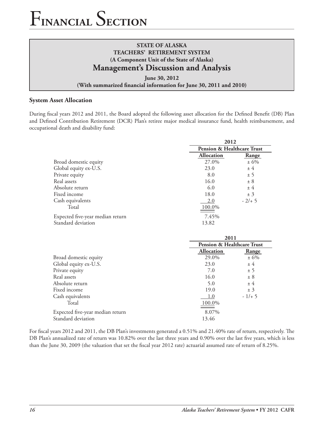## **STATE OF ALASKA TEACHERS' RETIREMENT SYSTEM (A Component Unit of the State of Alaska) Management's Discussion and Analysis**

**June 30, 2012 (With summarized financial information for June 30, 2011 and 2010)**

#### **System Asset Allocation**

During fiscal years 2012 and 2011, the Board adopted the following asset allocation for the Defined Benefit (DB) Plan and Defined Contribution Retirement (DCR) Plan's retiree major medical insurance fund, health reimbursement, and occupational death and disability fund:

|                                  |                   | 2012                                  |  |  |
|----------------------------------|-------------------|---------------------------------------|--|--|
|                                  |                   | <b>Pension &amp; Healthcare Trust</b> |  |  |
|                                  | <b>Allocation</b> | Range                                 |  |  |
| Broad domestic equity            | 27.0%             | $\pm 6\%$                             |  |  |
| Global equity ex-U.S.            | 23.0              | ± 4                                   |  |  |
| Private equity                   | 8.0               | ± 5                                   |  |  |
| Real assets                      | 16.0              | ± 8                                   |  |  |
| Absolute return                  | 6.0               | ±4                                    |  |  |
| Fixed income                     | 18.0              | ± 3                                   |  |  |
| Cash equivalents                 | 2.0               | $-2/+5$                               |  |  |
| Total                            | 100.0%            |                                       |  |  |
| Expected five-year median return | 7.45%             |                                       |  |  |
| Standard deviation               | 13.82             |                                       |  |  |

|                                  | 2011              |                                       |  |  |
|----------------------------------|-------------------|---------------------------------------|--|--|
|                                  |                   | <b>Pension &amp; Healthcare Trust</b> |  |  |
|                                  | <b>Allocation</b> | Range                                 |  |  |
| Broad domestic equity            | 29.0%             | $± 6\%$                               |  |  |
| Global equity ex-U.S.            | 23.0              | ±4                                    |  |  |
| Private equity                   | 7.0               | ± 5                                   |  |  |
| Real assets                      | 16.0              | ± 8                                   |  |  |
| Absolute return                  | 5.0               | ±4                                    |  |  |
| Fixed income                     | 19.0              | ± 3                                   |  |  |
| Cash equivalents                 | 1.0               | $-1/+5$                               |  |  |
| Total                            | 100.0%            |                                       |  |  |
| Expected five-year median return | 8.07%             |                                       |  |  |
| Standard deviation               | 13.46             |                                       |  |  |

For fiscal years 2012 and 2011, the DB Plan's investments generated a 0.51% and 21.40% rate of return, respectively. The DB Plan's annualized rate of return was 10.82% over the last three years and 0.90% over the last five years, which is less than the June 30, 2009 (the valuation that set the fiscal year 2012 rate) actuarial assumed rate of return of 8.25%.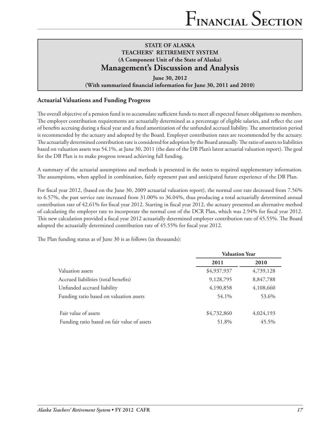## **STATE OF ALASKA TEACHERS' RETIREMENT SYSTEM (A Component Unit of the State of Alaska) Management's Discussion and Analysis**

**June 30, 2012 (With summarized financial information for June 30, 2011 and 2010)**

## **Actuarial Valuations and Funding Progress**

The overall objective of a pension fund is to accumulate sufficient funds to meet all expected future obligations to members. The employer contribution requirements are actuarially determined as a percentage of eligible salaries, and reflect the cost of benefits accruing during a fiscal year and a fixed amortization of the unfunded accrued liability. The amortization period is recommended by the actuary and adopted by the Board. Employer contribution rates are recommended by the actuary. The actuarially determined contribution rate is considered for adoption by the Board annually. The ratio of assets to liabilities based on valuation assets was 54.1%, at June 30, 2011 (the date of the DB Plan's latest actuarial valuation report). The goal for the DB Plan is to make progress toward achieving full funding.

A summary of the actuarial assumptions and methods is presented in the notes to required supplementary information. The assumptions, when applied in combination, fairly represent past and anticipated future experience of the DB Plan.

For fiscal year 2012, (based on the June 30, 2009 actuarial valuation report), the normal cost rate decreased from 7.56% to 6.57%, the past service rate increased from 31.00% to 36.04%, thus producing a total actuarially determined annual contribution rate of 42.61% for fiscal year 2012. Starting in fiscal year 2012, the actuary presented an alternative method of calculating the employer rate to incorporate the normal cost of the DCR Plan, which was 2.94% for fiscal year 2012. This new calculation provided a fiscal year 2012 actuarially determined employer contribution rate of 45.55%. The Board adopted the actuarially determined contribution rate of 45.55% for fiscal year 2012.

The Plan funding status as of June 30 is as follows (in thousands):

|                                             | <b>Valuation Year</b> |           |  |
|---------------------------------------------|-----------------------|-----------|--|
| Valuation assets                            | 2011                  | 2010      |  |
|                                             | \$4,937,937           | 4,739,128 |  |
| Accrued liabilities (total benefits)        | 9,128,795             | 8,847,788 |  |
| Unfunded accrued liability                  | 4,190,858             | 4,108,660 |  |
| Funding ratio based on valuation assets     | 54.1%                 | 53.6%     |  |
| Fair value of assets                        | \$4,732,860           | 4,024,193 |  |
| Funding ratio based on fair value of assets | 51.8%                 | 45.5%     |  |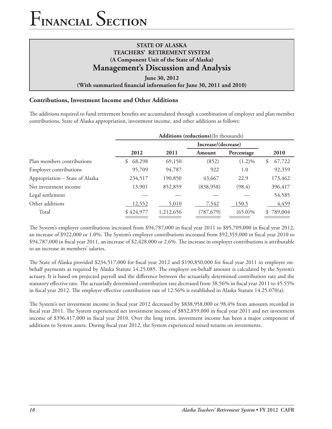## **STATE OF ALASKA TEACHERS' RETIREMENT SYSTEM (A Component Unit of the State of Alaska) Management's Discussion and Analysis**

**June 30, 2012 (With summarized financial information for June 30, 2011 and 2010)**

### **Contributions, Investment Income and Other Additions**

The additions required to fund retirement benefits are accumulated through a combination of employer and plan member contributions, State of Alaska appropriation, investment income, and other additions as follows:

| <b>Additions (reductions)</b> (In thousands) |           |            |            |                     |  |  |  |
|----------------------------------------------|-----------|------------|------------|---------------------|--|--|--|
|                                              |           |            |            |                     |  |  |  |
| 2012                                         | 2011      | Amount     | Percentage | 2010                |  |  |  |
| 68,298<br>\$                                 | 69,150    | (852)      | $(1.2)\%$  | 67,722<br>S         |  |  |  |
| 95,709                                       | 94,787    | 922        | 1.0        | 92,359              |  |  |  |
| 234,517                                      | 190,850   | 43,667     | 22.9       | 173,462             |  |  |  |
| 13,901                                       | 852,859   | (838, 958) | (98.4)     | 396,417             |  |  |  |
|                                              |           |            |            | 54,585              |  |  |  |
| 12,552                                       | 5,010     | 7,542      | 150.5      | 4,459               |  |  |  |
| \$424,977                                    | 1,212,656 | (787, 679) | $(65.0)\%$ | \$789,004           |  |  |  |
|                                              |           |            |            | Increase/(decrease) |  |  |  |

The System's employer contributions increased from \$94,787,000 in fiscal year 2011 to \$95,709,000 in fiscal year 2012, an increase of \$922,000 or 1.0%. The System's employer contributions increased from \$92,359,000 in fiscal year 2010 to \$94,787,000 in fiscal year 2011, an increase of \$2,428,000 or 2.6%. The increase in employer contributions is attributable to an increase in members' salaries.

The State of Alaska provided \$234,517,000 for fiscal year 2012 and \$190,850,000 for fiscal year 2011 in employer onbehalf payments as required by Alaska Statute 14.25.085. The employer on-behalf amount is calculated by the System's actuary. It is based on projected payroll and the difference between the actuarially determined contribution rate and the statutory effective rate. The actuarially determined contribution rate decreased from 38.56% in fiscal year 2011 to 45.55% in fiscal year 2012. The employer effective contribution rate of 12.56% is established in Alaska Statute 14.25.070(a).

The System's net investment income in fiscal year 2012 decreased by \$838,958,000 or 98.4% from amounts recorded in fiscal year 2011. The System experienced net investment income of \$852,859,000 in fiscal year 2011 and net investment income of \$396,417,000 in fiscal year 2010. Over the long term, investment income has been a major component of additions to System assets. During fiscal year 2012, the System experienced mixed returns on investments.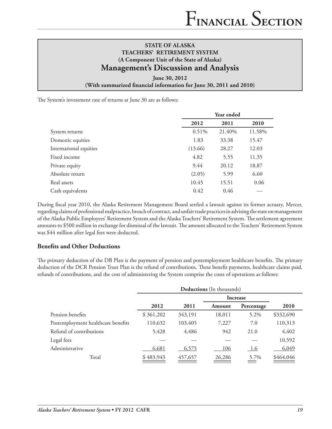## **STATE OF ALASKA TEACHERS' RETIREMENT SYSTEM (A Component Unit of the State of Alaska) Management's Discussion and Analysis**

**June 30, 2012 (With summarized financial information for June 30, 2011 and 2010)**

The System's investment rate of returns at June 30 are as follows:

|                        |         | Year ended |        |  |  |
|------------------------|---------|------------|--------|--|--|
|                        | 2012    | 2011       | 2010   |  |  |
| System returns         | 0.51%   | 21.40%     | 11.58% |  |  |
| Domestic equities      | 1.83    | 33.38      | 15.47  |  |  |
| International equities | (13.66) | 28.27      | 12.03  |  |  |
| Fixed income           | 4.82    | 5.55       | 11.35  |  |  |
| Private equity         | 9.44    | 20.12      | 18.87  |  |  |
| Absolute return        | (2.05)  | 5.99       | 6.60   |  |  |
| Real assets            | 10.45   | 15.51      | 0.06   |  |  |
| Cash equivalents       | 0.42    | 0.46       |        |  |  |

During fiscal year 2010, the Alaska Retirement Management Board settled a lawsuit against its former actuary, Mercer, regarding claims of professional malpractice, breach of contract, and unfair trade practices in advising the state on management of the Alaska Public Employees' Retirement System and the Alaska Teachers' Retirement System. The settlement agreement amounts to \$500 million in exchange for dismissal of the lawsuit. The amount allocated to the Teachers' Retirement System was \$44 million after legal fees were deducted.

#### **Benefits and Other Deductions**

The primary deduction of the DB Plan is the payment of pension and postemployment healthcare benefits. The primary deduction of the DCR Pension Trust Plan is the refund of contributions. These benefit payments, healthcare claims paid, refunds of contributions, and the cost of administering the System comprise the costs of operations as follows:

|                                    | <b>Deductions</b> (In thousands) |         |                 |            |           |  |  |  |
|------------------------------------|----------------------------------|---------|-----------------|------------|-----------|--|--|--|
|                                    |                                  |         | <b>Increase</b> |            |           |  |  |  |
|                                    | 2012                             | 2011    | Amount          | Percentage | 2010      |  |  |  |
| Pension benefits                   | \$361,202                        | 343,191 | 18,011          | 5.2%       | \$332,690 |  |  |  |
| Postemployment healthcare benefits | 110,632                          | 103,405 | 7,227           | 7.0        | 110,313   |  |  |  |
| Refund of contributions            | 5,428                            | 4,486   | 942             | 21.0       | 4,402     |  |  |  |
| Legal fees                         |                                  |         |                 |            | 10,592    |  |  |  |
| Administrative                     | 6,681                            | 6,575   | 106             | <u>1.6</u> | 6,049     |  |  |  |
| Total                              | \$483,943                        | 457,657 | 26,286          | 5.7%       | \$464,046 |  |  |  |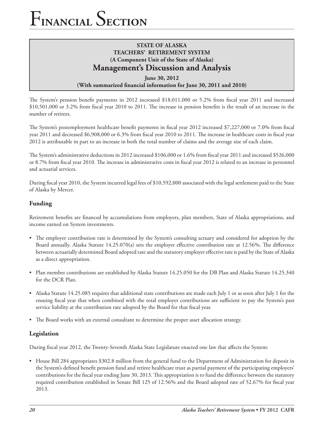## **STATE OF ALASKA TEACHERS' RETIREMENT SYSTEM (A Component Unit of the State of Alaska) Management's Discussion and Analysis**

**June 30, 2012 (With summarized financial information for June 30, 2011 and 2010)**

The System's pension benefit payments in 2012 increased \$18,011,000 or 5.2% from fiscal year 2011 and increased \$10,501,000 or 3.2% from fiscal year 2010 to 2011. The increase in pension benefits is the result of an increase in the number of retirees.

The System's postemployment healthcare benefit payments in fiscal year 2012 increased \$7,227,000 or 7.0% from fiscal year 2011 and decreased \$6,908,000 or 6.3% from fiscal year 2010 to 2011. The increase in healthcare costs in fiscal year 2012 is attributable in part to an increase in both the total number of claims and the average size of each claim.

The System's administrative deductions in 2012 increased \$106,000 or 1.6% from fiscal year 2011 and increased \$526,000 or 8.7% from fiscal year 2010. The increase in administrative costs in fiscal year 2012 is related to an increase in personnel and actuarial services.

During fiscal year 2010, the System incurred legal fees of \$10,592,000 associated with the legal settlement paid to the State of Alaska by Mercer.

## **Funding**

Retirement benefits are financed by accumulations from employers, plan members, State of Alaska appropriations, and income earned on System investments.

- • The employer contribution rate is determined by the System's consulting actuary and considered for adoption by the Board annually. Alaska Statute 14.25.070(a) sets the employer effective contribution rate at 12.56%. The difference between actuarially determined Board adopted rate and the statutory employer effective rate is paid by the State of Alaska as a direct appropriation.
- • Plan member contributions are established by Alaska Statute 14.25.050 for the DB Plan and Alaska Statute 14.25.340 for the DCR Plan.
- Alaska Statute 14.25.085 requires that additional state contributions are made each July 1 or as soon after July 1 for the ensuing fiscal year that when combined with the total employer contributions are sufficient to pay the System's past service liability at the contribution rate adopted by the Board for that fiscal year.
- • The Board works with an external consultant to determine the proper asset allocation strategy.

#### **Legislation**

During fiscal year 2012, the Twenty-Seventh Alaska State Legislature enacted one law that affects the System:

• House Bill 284 appropriates \$302.8 million from the general fund to the Department of Administration for deposit in the System's defined benefit pension fund and retiree healthcare trust as partial payment of the participating employers' contributions for the fiscal year ending June 30, 2013. This appropriation is to fund the difference between the statutory required contribution established in Senate Bill 125 of 12.56% and the Board adopted rate of 52.67% for fiscal year 2013.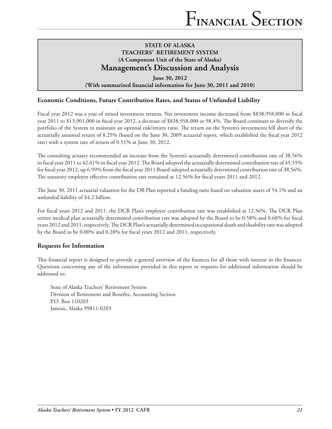## **STATE OF ALASKA TEACHERS' RETIREMENT SYSTEM (A Component Unit of the State of Alaska) Management's Discussion and Analysis**

**June 30, 2012 (With summarized financial information for June 30, 2011 and 2010)**

### **Economic Conditions, Future Contribution Rates, and Status of Unfunded Liability**

Fiscal year 2012 was a year of mixed investment returns. Net investment income decreased from \$838,958,000 in fiscal year 2011 to \$13,901,000 in fiscal year 2012, a decrease of \$838,958,000 or 98.4%. The Board continues to diversify the portfolio of the System to maintain an optimal risk/return ratio. The return on the System's investments fell short of the actuarially assumed return of 8.25% (based on the June 30, 2009 actuarial report, which established the fiscal year 2012 rate) with a system rate of return of 0.51% at June 30, 2012.

The consulting actuary recommended an increase from the System's actuarially determined contribution rate of 38.56% in fiscal year 2011 to 42.61% in fiscal year 2012. The Board adopted the actuarially determined contribution rate of 45.55% for fiscal year 2012, up 6.99% from the fiscal year 2011 Board-adopted actuarially determined contribution rate of 38.56%. The statutory employer effective contribution rate remained at 12.56% for fiscal years 2011 and 2012.

The June 30, 2011 actuarial valuation for the DB Plan reported a funding ratio based on valuation assets of 54.1% and an unfunded liability of \$4.2 billion.

For fiscal years 2012 and 2011, the DCR Plan's employer contribution rate was established at 12.56%. The DCR Plan retiree medical plan actuarially determined contribution rate was adopted by the Board to be 0.58% and 0.68% for fiscal years 2012 and 2011, respectively. The DCR Plan's actuarially determined occupational death and disability rate was adopted by the Board to be 0.00% and 0.28% for fiscal years 2012 and 2011, respectively.

## **Requests for Information**

This financial report is designed to provide a general overview of the finances for all those with interest in the finances. Questions concerning any of the information provided in this report or requests for additional information should be addressed to:

State of Alaska Teachers' Retirement System Division of Retirement and Benefits, Accounting Section P.O. Box 110203 Juneau, Alaska 99811-0203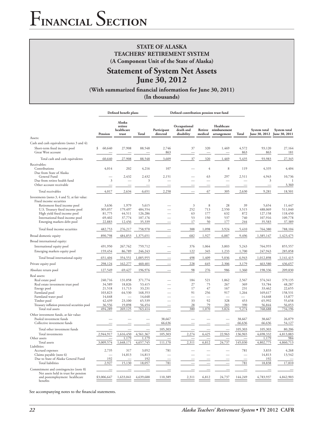#### **STATE OF ALASKA TEACHERS' RETIREMENT SYSTEM (A Component Unit of the State of Alaska)**

# **Statement of System Net Assets June 30, 2012**

**(With summarized financial information for June 30, 2011) (In thousands)**

|                                                                               |                   | Defined benefit plans                    |                   | Defined contribution pension trust fund |                                         |                                |                                            |                  |                               |                               |
|-------------------------------------------------------------------------------|-------------------|------------------------------------------|-------------------|-----------------------------------------|-----------------------------------------|--------------------------------|--------------------------------------------|------------------|-------------------------------|-------------------------------|
|                                                                               | Pension           | Alaska<br>retiree<br>healthcare<br>trust | Total             | Participant<br>directed                 | Occupational<br>death and<br>disability | Retiree<br>medical             | Healthcare<br>reimbursement<br>arrangement | Total            | System total<br>June 30, 2012 | System total<br>June 30, 2011 |
| Assets:                                                                       |                   |                                          |                   |                                         |                                         |                                |                                            |                  |                               |                               |
| Cash and cash equivalents (notes 3 and 4):                                    |                   |                                          |                   |                                         |                                         |                                |                                            |                  |                               |                               |
| Short-term fixed income pool<br>Great West account                            | \$<br>60,640      | 27,908                                   | 88,548            | 2,746<br>863                            | 37                                      | 320                            | 1,469                                      | 4,572<br>863     | 93,120<br>863                 | 27,164<br>181                 |
| Total cash and cash equivalents                                               | 60,640            | 27,908                                   | 88,548            | 3,609                                   | 37                                      | 320                            | 1,469                                      | 5,435            | 93,983                        | 27,345                        |
| Receivables:                                                                  |                   |                                          |                   |                                         |                                         |                                |                                            |                  |                               |                               |
| Contributions                                                                 | 4,014             | 202                                      | 4,216             | 107                                     |                                         | $\overline{4}$                 | 8                                          | 119              | 4,335                         | 4,404                         |
| Due from State of Alaska                                                      |                   |                                          |                   |                                         |                                         |                                |                                            |                  |                               |                               |
| General Fund                                                                  |                   | 2,432                                    | 2,432             | 2.151                                   |                                         | 63<br>$\overline{\phantom{a}}$ | 297                                        | 2,511            | 4,943                         | 10,736<br>$\mathbf{1}$        |
| Due from retiree health fund<br>Other account receivable                      | 3                 |                                          | 3                 |                                         |                                         |                                |                                            |                  | 3                             | 3,360                         |
|                                                                               |                   |                                          |                   |                                         |                                         |                                |                                            |                  |                               |                               |
| Total receivables                                                             | 4,017             | 2,634                                    | 6,651             | 2,258                                   |                                         | 67                             | 305                                        | 2,630            | 9,281                         | 18,501                        |
| Investments (notes 3, 4 and 5), at fair value:<br>Fixed income securities     |                   |                                          |                   |                                         |                                         |                                |                                            |                  |                               |                               |
| Retirement fixed income pool                                                  | 3,636             | 1,979                                    | 5,615             |                                         | 3                                       | 8                              | 28                                         | 39               | 5,654                         | 11,447                        |
| U.S. Treasury fixed income pool                                               | 305,057           | 179,497                                  | 484,554           |                                         | 252                                     | 713                            | 2,550                                      | 3,515            | 488,069                       | 511,040                       |
| High yield fixed income pool                                                  | 81,775            | 44,511                                   | 126,286           |                                         | 63                                      | 177                            | 632                                        | 872              | 127,158                       | 118,450                       |
| International fixed income pool                                               | 69,402            | 37,774                                   | 107,176           |                                         | 53                                      | 150                            | 537                                        | 740              | 107,916                       | 109,778                       |
| Emerging markets debt pool                                                    | 22,883            | 12,456                                   | 35,339            |                                         | 17                                      | 50                             | 177                                        | 244              | 35,583                        | 37,389                        |
| Total fixed income securities                                                 | 482,753           | 276,217                                  | 758,970           |                                         | 388                                     | 1,098                          | 3,924                                      | 5,410            | 764,380                       | 788,104                       |
| Broad domestic equity                                                         | 890,798           | 484,853                                  | 1,375,651         |                                         | 682                                     | 1,927                          | 6,887                                      | 9,496            | 1,385,147                     | 1,423,475                     |
| Broad international equity:                                                   |                   |                                          |                   |                                         |                                         |                                |                                            |                  |                               |                               |
|                                                                               | 491,950           | 267,762                                  | 759,712           |                                         | 376                                     | 1,064                          | 3,803                                      | 5,243            |                               | 855,557                       |
| International equity pool                                                     |                   |                                          |                   |                                         |                                         |                                |                                            |                  | 764,955                       |                               |
| Emerging markets equity pool                                                  | 159,454           | 86,789                                   | 246,243           |                                         | 122                                     | 345                            | 1,233                                      | 1,700            | 247,943                       | 285,858                       |
| Total broad international equity                                              | 651,404           | 354,551                                  | 1,005,955         |                                         | 498                                     | 1,409                          | 5,036                                      | 6,943            | 1,012,898                     | 1,141,415                     |
| Private equity pool                                                           | 298,124           | 162,277                                  | 460,401           |                                         | 228                                     | 645                            | 2,306                                      | 3,179            | 463,580                       | 436,657                       |
| Absolute return pool                                                          | 127,549           | 69,427                                   | 196,976           |                                         | 98                                      | 276                            | 986                                        | 1,360            | 198,336                       | 209,830                       |
| Real assets:                                                                  |                   |                                          |                   |                                         |                                         |                                |                                            |                  |                               |                               |
| Real estate pool                                                              | 240,716           | 131,058                                  | 371,774           |                                         | 184                                     | 521                            | 1,862                                      | 2,567            | 374,341                       | 379,135                       |
| Real estate investment trust pool                                             | 34,589            | 18,826                                   | 53,415            |                                         | 27                                      | 75                             | 267                                        | 369              | 53,784                        | 48,287                        |
| Energy pool                                                                   | 21,518            | 11,713                                   | 33,231            |                                         | 17                                      | 47                             | 167                                        | 231              | 33,462                        | 22,655                        |
| Farmland pool                                                                 | 103,823           | 64,530                                   | 168,353           |                                         | 91                                      | 256                            | 917                                        | 1,264            | 169,617                       | 158,531                       |
| Farmland water pool                                                           | 14,648            |                                          | 14,648            |                                         |                                         |                                |                                            |                  | 14,648                        | 13,877                        |
| Timber pool                                                                   | 42,439            | 23,100                                   | 65,539            |                                         | 33                                      | 92                             | 328                                        | 453              | 65,992                        | 55,658                        |
| Treasury inflation protected securities pool<br>Total real assets             | 36,556<br>494,289 | 19,898<br>269,125                        | 56,454<br>763,414 |                                         | 28<br>380                               | 79<br>1,070                    | 283<br>3,824                               | 390<br>5,274     | 56,844<br>768,688             | 56,053<br>734,196             |
|                                                                               |                   |                                          |                   |                                         |                                         |                                |                                            |                  |                               |                               |
| Other investment funds, at fair value:                                        |                   |                                          |                   |                                         |                                         |                                |                                            |                  |                               |                               |
| Pooled investment funds<br>Collective investment funds                        |                   |                                          |                   | 38,667<br>66,636                        |                                         |                                |                                            | 38,667<br>66,636 | 38,667<br>66,636              | 26,079<br>54,127              |
|                                                                               |                   |                                          |                   |                                         |                                         |                                |                                            |                  |                               |                               |
| Total other investment funds                                                  |                   |                                          |                   | 105,303                                 |                                         |                                |                                            | 105,303          | 105,303                       | 80,206                        |
| Total investments                                                             | 2,944,917         | 1,616,450                                | 4,561,367         | 105,303                                 | 2,274                                   | 6,425                          | 22,963                                     | 136,965          | 4,698,332                     | 4,813,883                     |
| Other assets                                                                  |                   | 1,179                                    | 1,179             |                                         |                                         |                                |                                            |                  | 1,179                         | 984                           |
| Total assets                                                                  | 3,009,574         | 1,648,171                                | 4,657,745         | 111,170                                 | 2,311                                   | 6,812                          | 24,737                                     | 145,030          | 4,802,775                     | 4,860,713                     |
| Liabilities:                                                                  | 2,735             | 317                                      | 3,052             | 781                                     |                                         |                                |                                            | 781              | 3,833                         | 4,268                         |
| Accrued expenses<br>Claims payable (note 6)                                   |                   | 14,813                                   | 14,813            |                                         |                                         |                                |                                            |                  | 14,813                        | 13,542                        |
| Due to State of Alaska General Fund                                           | 192               |                                          | 192               |                                         |                                         |                                |                                            |                  | 192                           |                               |
| <b>Total liabilities</b>                                                      | 2,927             | 15,130                                   | 18,057            | 781                                     |                                         |                                |                                            | 781              | 18,838                        | 17,810                        |
|                                                                               |                   |                                          |                   |                                         |                                         |                                |                                            |                  |                               |                               |
| Commitment and contingencies (note 8)<br>Net assets held in trust for pension |                   |                                          |                   |                                         |                                         |                                |                                            |                  |                               |                               |
| and postemployment healthcare<br>benefits                                     | \$3,006,647       | 1,633,041                                | 4,639,688         | 110,389                                 | 2,311                                   | 6,812                          | 24,737                                     | 144,249          | 4,783,937                     | 4,842,903                     |

See accompanying notes to the financial statements.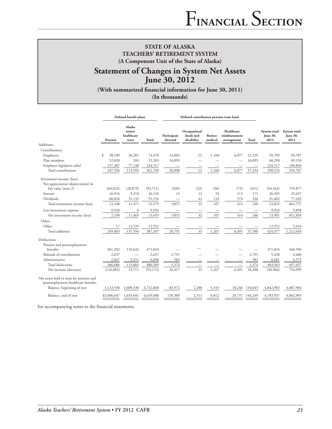# **Statement of Changes in System Net Assets June 30, 2012**

**(With summarized financial information for June 30, 2011) (In thousands)**

|                                                                                 |             | Defined benefit plans                    |           |                         | Defined contribution pension trust fund |                    |                                            |         |                                  |                                  |
|---------------------------------------------------------------------------------|-------------|------------------------------------------|-----------|-------------------------|-----------------------------------------|--------------------|--------------------------------------------|---------|----------------------------------|----------------------------------|
|                                                                                 | Pension     | Alaska<br>retiree<br>healthcare<br>trust | Total     | Participant<br>directed | Occupational<br>death and<br>disability | Retiree<br>medical | Healthcare<br>reimbursement<br>arrangement | Total   | System total<br>June 30,<br>2012 | System total<br>June 30,<br>2011 |
| Additions:                                                                      |             |                                          |           |                         |                                         |                    |                                            |         |                                  |                                  |
| Contributions:                                                                  |             |                                          |           |                         |                                         |                    |                                            |         |                                  |                                  |
| Employers                                                                       | 38,189<br>S | 36,281                                   | 74,470    | 14,003                  | (1)                                     | 1,160              | 6,077                                      | 21,239  | 95,709                           | 94,787                           |
| Plan members                                                                    | 52,020      | 183                                      | 52,203    | 16,095                  |                                         |                    |                                            | 16,095  | 68,298                           | 69,150                           |
| Employer legislative relief                                                     | 157,387     | 77,130                                   | 234,517   |                         |                                         |                    |                                            |         | 234,517                          | 190,850                          |
| Total contributions                                                             | 247,596     | 113,594                                  | 361,190   | 30,098                  | (1)                                     | 1,160              | 6,077                                      | 37,334  | 398,524                          | 354,787                          |
| Investment income (loss):                                                       |             |                                          |           |                         |                                         |                    |                                            |         |                                  |                                  |
| Net appreciation (depreciation) in                                              |             |                                          |           |                         |                                         |                    |                                            |         |                                  |                                  |
| fair value (note 2)                                                             | (64, 832)   | (28, 879)                                | (93,711)  | (320)                   | (22)                                    | (36)               | (73)                                       | (451)   | (94, 162)                        | 759,877                          |
| Interest                                                                        | 16,916      | 9,218                                    | 26,134    | 13                      | 12                                      | 33                 | 113                                        | 171     | 26,305                           | 25,637                           |
| <b>Dividends</b>                                                                | 60,024      | 31,132                                   | 91,156    |                         | 42                                      | 110                | 374                                        | 526     | 91,682                           | 77,243                           |
| Total investment income (loss)                                                  | 12,108      | 11,471                                   | 23,579    | (307)                   | 32                                      | 107                | 414                                        | 246     | 23,825                           | 862,757                          |
| Less investment expense                                                         | 9,918       | 6                                        | 9,924     |                         |                                         |                    |                                            |         | 9,924                            | 9,898                            |
| Net investment income (loss)                                                    | 2,190       | 11,465                                   | 13,655    | (307)                   | 32                                      | 107                | 414                                        | 246     | 13,901                           | 852,859                          |
| Other:                                                                          |             |                                          |           |                         |                                         |                    |                                            |         |                                  |                                  |
| Other                                                                           | 17          | 12,535                                   | 12,552    |                         |                                         |                    |                                            |         | 12,552                           | 5,010                            |
| Total additions                                                                 | 249,803     | 137,594                                  | 387,397   | 29,791                  | 31                                      | 1,267              | 6,491                                      | 37,580  | 424,977                          | 1,212,656                        |
| Deductions:                                                                     |             |                                          |           |                         |                                         |                    |                                            |         |                                  |                                  |
| Pension and postemployment                                                      |             |                                          |           |                         |                                         |                    |                                            |         |                                  |                                  |
| benefits                                                                        | 361,202     | 110,632                                  | 471,834   |                         |                                         |                    |                                            |         | 471,834                          | 446,596                          |
| Refunds of contributions                                                        | 2,637       |                                          | 2,637     | 2,791                   |                                         |                    |                                            | 2,791   | 5,428                            | 4,486                            |
| Administrative                                                                  | 2,847       | 3,251                                    | 6,098     | 583                     |                                         |                    |                                            | 583     | 6,681                            | 6,575                            |
| Total deductions                                                                | 366,686     | 113,883                                  | 480,569   | 3,374                   |                                         |                    |                                            | 3,374   | 483,943                          | 457,657                          |
| Net increase (decrease)                                                         | (116, 883)  | 23,711                                   | (93, 172) | 26,417                  | 31                                      | 1,267              | 6.491                                      | 34,206  | (58, 966)                        | 754,999                          |
| Net assets held in trust for pension and<br>postemployment healthcare benefits: |             |                                          |           |                         |                                         |                    |                                            |         |                                  |                                  |
| Balance, beginning of year                                                      | 3,123,530   | 1,609,330                                | 4,732,860 | 83,972                  | 2,280                                   | 5,545              | 18,246                                     | 110,043 | 4,842,903                        | 4,087,904                        |
| Balance, end of year                                                            | \$3,006,647 | 1,633,041                                | 4,639,688 | 110,389                 | 2,311                                   | 6,812              | 24,737                                     | 144,249 | 4,783,937                        | 4,842,903                        |

See accompanying notes to the financial statements.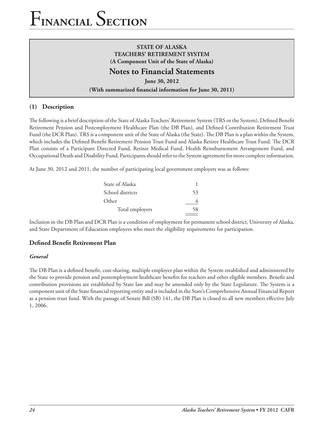## **STATE OF ALASKA TEACHERS' RETIREMENT SYSTEM (A Component Unit of the State of Alaska)**

# **Notes to Financial Statements**

**June 30, 2012**

#### **(With summarized financial information for June 30, 2011)**

# **(1) Description**

The following is a brief description of the State of Alaska Teachers' Retirement System (TRS or the System), Defined Benefit Retirement Pension and Postemployment Healthcare Plan (the DB Plan), and Defined Contribution Retirement Trust Fund (the DCR Plan). TRS is a component unit of the State of Alaska (the State). The DB Plan is a plan within the System, which includes the Defined Benefit Retirement Pension Trust Fund and Alaska Retiree Healthcare Trust Fund. The DCR Plan consists of a Participant Directed Fund, Retiree Medical Fund, Health Reimbursement Arrangement Fund, and Occupational Death and Disability Fund. Participants should refer to the System agreement for more complete information.

At June 30, 2012 and 2011, the number of participating local government employers was as follows:

| State of Alaska  |    |
|------------------|----|
| School districts | 53 |
| Other            |    |
| Total employers  | 58 |
|                  |    |

Inclusion in the DB Plan and DCR Plan is a condition of employment for permanent school district, University of Alaska, and State Department of Education employees who meet the eligibility requirements for participation.

# **Defined Benefit Retirement Plan**

#### *General*

The DB Plan is a defined benefit, cost-sharing, multiple employer plan within the System established and administered by the State to provide pension and postemployment healthcare benefits for teachers and other eligible members. Benefit and contribution provisions are established by State law and may be amended only by the State Legislature. The System is a component unit of the State financial reporting entity and is included in the State's Comprehensive Annual Financial Report as a pension trust fund. With the passage of Senate Bill (SB) 141, the DB Plan is closed to all new members effective July 1, 2006.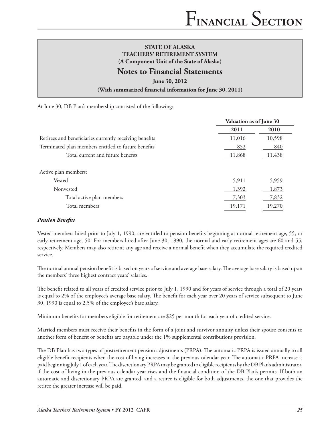# **Notes to Financial Statements**

**June 30, 2012**

**(With summarized financial information for June 30, 2011)**

At June 30, DB Plan's membership consisted of the following:

|                                                         | Valuation as of June 30 |        |  |
|---------------------------------------------------------|-------------------------|--------|--|
|                                                         | 2011                    | 2010   |  |
| Retirees and beneficiaries currently receiving benefits | 11,016                  | 10,598 |  |
| Terminated plan members entitled to future benefits     | 852                     | 840    |  |
| Total current and future benefits                       | 11,868                  | 11,438 |  |
| Active plan members:                                    |                         |        |  |
| Vested                                                  | 5,911                   | 5,959  |  |
| Nonvested                                               | 1,392                   | 1,873  |  |
| Total active plan members                               | 7,303                   | 7,832  |  |
| Total members                                           | 19,171                  | 19,270 |  |
|                                                         |                         |        |  |

#### *Pension Benefits*

Vested members hired prior to July 1, 1990, are entitled to pension benefits beginning at normal retirement age, 55, or early retirement age, 50. For members hired after June 30, 1990, the normal and early retirement ages are 60 and 55, respectively. Members may also retire at any age and receive a normal benefit when they accumulate the required credited service.

The normal annual pension benefit is based on years of service and average base salary. The average base salary is based upon the members' three highest contract years' salaries.

The benefit related to all years of credited service prior to July 1, 1990 and for years of service through a total of 20 years is equal to 2% of the employee's average base salary. The benefit for each year over 20 years of service subsequent to June 30, 1990 is equal to 2.5% of the employee's base salary.

Minimum benefits for members eligible for retirement are \$25 per month for each year of credited service.

Married members must receive their benefits in the form of a joint and survivor annuity unless their spouse consents to another form of benefit or benefits are payable under the 1% supplemental contributions provision.

The DB Plan has two types of postretirement pension adjustments (PRPA). The automatic PRPA is issued annually to all eligible benefit recipients when the cost of living increases in the previous calendar year. The automatic PRPA increase is paid beginning July 1 of each year. The discretionary PRPA may be granted to eligible recipients by the DB Plan's administrator, if the cost of living in the previous calendar year rises and the financial condition of the DB Plan's permits. If both an automatic and discretionary PRPA are granted, and a retiree is eligible for both adjustments, the one that provides the retiree the greater increase will be paid.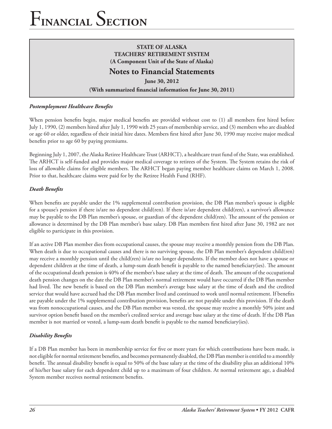## **STATE OF ALASKA TEACHERS' RETIREMENT SYSTEM (A Component Unit of the State of Alaska)**

# **Notes to Financial Statements**

**June 30, 2012**

**(With summarized financial information for June 30, 2011)**

### *Postemployment Healthcare Benefits*

When pension benefits begin, major medical benefits are provided without cost to (1) all members first hired before July 1, 1990, (2) members hired after July 1, 1990 with 25 years of membership service, and (3) members who are disabled or age 60 or older, regardless of their initial hire dates. Members first hired after June 30, 1990 may receive major medical benefits prior to age 60 by paying premiums.

Beginning July 1, 2007, the Alaska Retiree Healthcare Trust (ARHCT), a healthcare trust fund of the State, was established. The ARHCT is self-funded and provides major medical coverage to retirees of the System. The System retains the risk of loss of allowable claims for eligible members. The ARHCT began paying member healthcare claims on March 1, 2008. Prior to that, healthcare claims were paid for by the Retiree Health Fund (RHF).

## *Death Benefits*

When benefits are payable under the 1% supplemental contribution provision, the DB Plan member's spouse is eligible for a spouse's pension if there is/are no dependent child(ren). If there is/are dependent child(ren), a survivor's allowance may be payable to the DB Plan member's spouse, or guardian of the dependent child(ren). The amount of the pension or allowance is determined by the DB Plan member's base salary. DB Plan members first hired after June 30, 1982 are not eligible to participate in this provision.

If an active DB Plan member dies from occupational causes, the spouse may receive a monthly pension from the DB Plan. When death is due to occupational causes and there is no surviving spouse, the DB Plan member's dependent child(ren) may receive a monthly pension until the child(ren) is/are no longer dependents. If the member does not have a spouse or dependent children at the time of death, a lump-sum death benefit is payable to the named beneficiary(ies). The amount of the occupational death pension is 40% of the member's base salary at the time of death. The amount of the occupational death pension changes on the date the DB Plan member's normal retirement would have occurred if the DB Plan member had lived. The new benefit is based on the DB Plan member's average base salary at the time of death and the credited service that would have accrued had the DB Plan member lived and continued to work until normal retirement. If benefits are payable under the 1% supplemental contribution provision, benefits are not payable under this provision. If the death was from nonoccupational causes, and the DB Plan member was vested, the spouse may receive a monthly 50% joint and survivor option benefit based on the member's credited service and average base salary at the time of death. If the DB Plan member is not married or vested, a lump-sum death benefit is payable to the named beneficiary(ies).

## *Disability Benefits*

If a DB Plan member has been in membership service for five or more years for which contributions have been made, is not eligible for normal retirement benefits, and becomes permanently disabled, the DB Plan member is entitled to a monthly benefit. The annual disability benefit is equal to 50% of the base salary at the time of the disability plus an additional 10% of his/her base salary for each dependent child up to a maximum of four children. At normal retirement age, a disabled System member receives normal retirement benefits.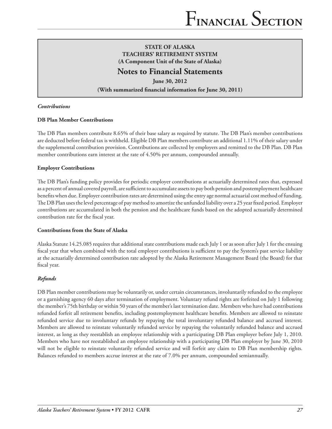# **Notes to Financial Statements**

**June 30, 2012**

**(With summarized financial information for June 30, 2011)**

#### *Contributions*

#### **DB Plan Member Contributions**

The DB Plan members contribute 8.65% of their base salary as required by statute. The DB Plan's member contributions are deducted before federal tax is withheld. Eligible DB Plan members contribute an additional 1.11% of their salary under the supplemental contribution provision. Contributions are collected by employers and remitted to the DB Plan. DB Plan member contributions earn interest at the rate of 4.50% per annum, compounded annually.

#### **Employer Contributions**

The DB Plan's funding policy provides for periodic employer contributions at actuarially determined rates that, expressed as a percent of annual covered payroll, are sufficient to accumulate assets to pay both pension and postemployment healthcare benefits when due. Employer contribution rates are determined using the entry age normal actuarial cost method of funding. The DB Plan uses the level percentage of pay method to amortize the unfunded liability over a 25 year fixed period. Employer contributions are accumulated in both the pension and the healthcare funds based on the adopted actuarially determined contribution rate for the fiscal year.

#### **Contributions from the State of Alaska**

Alaska Statute 14.25.085 requires that additional state contributions made each July 1 or as soon after July 1 for the ensuing fiscal year that when combined with the total employer contributions is sufficient to pay the System's past service liability at the actuarially determined contribution rate adopted by the Alaska Retirement Management Board (the Board) for that fiscal year.

#### *Refunds*

DB Plan member contributions may be voluntarily or, under certain circumstances, involuntarily refunded to the employee or a garnishing agency 60 days after termination of employment. Voluntary refund rights are forfeited on July 1 following the member's 75th birthday or within 50 years of the member's last termination date. Members who have had contributions refunded forfeit all retirement benefits, including postemployment healthcare benefits. Members are allowed to reinstate refunded service due to involuntary refunds by repaying the total involuntary refunded balance and accrued interest. Members are allowed to reinstate voluntarily refunded service by repaying the voluntarily refunded balance and accrued interest, as long as they reestablish an employee relationship with a participating DB Plan employer before July 1, 2010. Members who have not reestablished an employee relationship with a participating DB Plan employer by June 30, 2010 will not be eligible to reinstate voluntarily refunded service and will forfeit any claim to DB Plan membership rights. Balances refunded to members accrue interest at the rate of 7.0% per annum, compounded semiannually.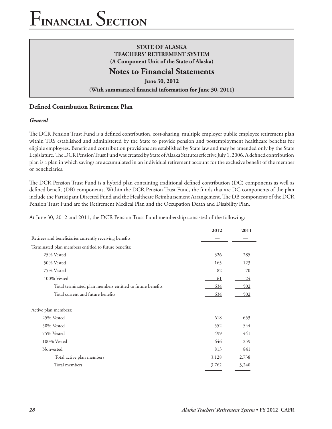### **STATE OF ALASKA TEACHERS' RETIREMENT SYSTEM (A Component Unit of the State of Alaska)**

# **Notes to Financial Statements**

**June 30, 2012**

**(With summarized financial information for June 30, 2011)**

## **Defined Contribution Retirement Plan**

#### *General*

The DCR Pension Trust Fund is a defined contribution, cost-sharing, multiple employer public employee retirement plan within TRS established and administered by the State to provide pension and postemployment healthcare benefits for eligible employees. Benefit and contribution provisions are established by State law and may be amended only by the State Legislature. The DCR Pension Trust Fund was created by State of Alaska Statutes effective July 1, 2006. A defined contribution plan is a plan in which savings are accumulated in an individual retirement account for the exclusive benefit of the member or beneficiaries.

The DCR Pension Trust Fund is a hybrid plan containing traditional defined contribution (DC) components as well as defined benefit (DB) components. Within the DCR Pension Trust Fund, the funds that are DC components of the plan include the Participant Directed Fund and the Healthcare Reimbursement Arrangement. The DB components of the DCR Pension Trust Fund are the Retirement Medical Plan and the Occupation Death and Disability Plan.

At June 30, 2012 and 2011, the DCR Pension Trust Fund membership consisted of the following:

|                                                           | 2012  | 2011  |
|-----------------------------------------------------------|-------|-------|
| Retirees and beneficiaries currently receiving benefits   |       |       |
| Terminated plan members entitled to future benefits:      |       |       |
| 25% Vested                                                | 326   | 285   |
| 50% Vested                                                | 165   | 123   |
| 75% Vested                                                | 82    | 70    |
| 100% Vested                                               | 61    | 24    |
| Total terminated plan members entitled to future benefits | 634   | 502   |
| Total current and future benefits                         | 634   | 502   |
| Active plan members:                                      |       |       |
| 25% Vested                                                | 618   | 653   |
| 50% Vested                                                | 552   | 544   |
| 75% Vested                                                | 499   | 441   |
| 100% Vested                                               | 646   | 259   |
| Nonvested                                                 | 813   | 841   |
| Total active plan members                                 | 3,128 | 2,738 |
| Total members                                             | 3,762 | 3,240 |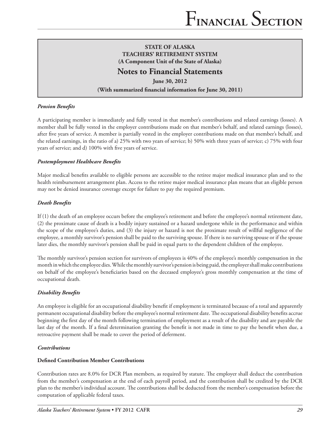# **Notes to Financial Statements**

**June 30, 2012**

**(With summarized financial information for June 30, 2011)**

#### *Pension Benefits*

A participating member is immediately and fully vested in that member's contributions and related earnings (losses). A member shall be fully vested in the employer contributions made on that member's behalf, and related earnings (losses), after five years of service. A member is partially vested in the employer contributions made on that member's behalf, and the related earnings, in the ratio of a) 25% with two years of service; b) 50% with three years of service; c) 75% with four years of service; and d) 100% with five years of service.

#### *Postemployment Healthcare Benefits*

Major medical benefits available to eligible persons are accessible to the retiree major medical insurance plan and to the health reimbursement arrangement plan. Access to the retiree major medical insurance plan means that an eligible person may not be denied insurance coverage except for failure to pay the required premium.

#### *Death Benefits*

If (1) the death of an employee occurs before the employee's retirement and before the employee's normal retirement date, (2) the proximate cause of death is a bodily injury sustained or a hazard undergone while in the performance and within the scope of the employee's duties, and (3) the injury or hazard is not the proximate result of willful negligence of the employee, a monthly survivor's pension shall be paid to the surviving spouse. If there is no surviving spouse or if the spouse later dies, the monthly survivor's pension shall be paid in equal parts to the dependent children of the employee.

The monthly survivor's pension section for survivors of employees is 40% of the employee's monthly compensation in the month in which the employee dies. While the monthly survivor's pension is being paid, the employer shall make contributions on behalf of the employee's beneficiaries based on the deceased employee's gross monthly compensation at the time of occupational death.

#### *Disability Benefits*

An employee is eligible for an occupational disability benefit if employment is terminated because of a total and apparently permanent occupational disability before the employee's normal retirement date. The occupational disability benefits accrue beginning the first day of the month following termination of employment as a result of the disability and are payable the last day of the month. If a final determination granting the benefit is not made in time to pay the benefit when due, a retroactive payment shall be made to cover the period of deferment.

#### *Contributions*

#### **Defined Contribution Member Contributions**

Contribution rates are 8.0% for DCR Plan members, as required by statute. The employer shall deduct the contribution from the member's compensation at the end of each payroll period, and the contribution shall be credited by the DCR plan to the member's individual account. The contributions shall be deducted from the member's compensation before the computation of applicable federal taxes.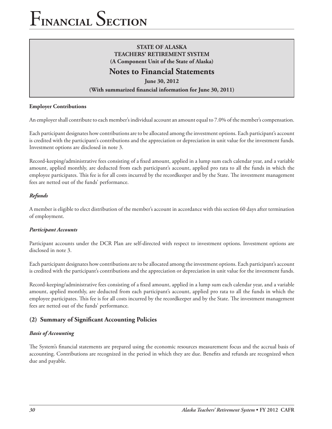## **STATE OF ALASKA TEACHERS' RETIREMENT SYSTEM (A Component Unit of the State of Alaska)**

# **Notes to Financial Statements**

**June 30, 2012**

#### **(With summarized financial information for June 30, 2011)**

#### **Employer Contributions**

An employer shall contribute to each member's individual account an amount equal to 7.0% of the member's compensation.

Each participant designates how contributions are to be allocated among the investment options. Each participant's account is credited with the participant's contributions and the appreciation or depreciation in unit value for the investment funds. Investment options are disclosed in note 3.

Record-keeping/administrative fees consisting of a fixed amount, applied in a lump sum each calendar year, and a variable amount, applied monthly, are deducted from each participant's account, applied pro rata to all the funds in which the employee participates. This fee is for all costs incurred by the recordkeeper and by the State. The investment management fees are netted out of the funds' performance.

#### *Refunds*

A member is eligible to elect distribution of the member's account in accordance with this section 60 days after termination of employment.

#### *Participant Accounts*

Participant accounts under the DCR Plan are self-directed with respect to investment options. Investment options are disclosed in note 3.

Each participant designates how contributions are to be allocated among the investment options. Each participant's account is credited with the participant's contributions and the appreciation or depreciation in unit value for the investment funds.

Record-keeping/administrative fees consisting of a fixed amount, applied in a lump sum each calendar year, and a variable amount, applied monthly, are deducted from each participant's account, applied pro rata to all the funds in which the employee participates. This fee is for all costs incurred by the recordkeeper and by the State. The investment management fees are netted out of the funds' performance.

## **(2) Summary of Significant Accounting Policies**

#### *Basis of Accounting*

The System's financial statements are prepared using the economic resources measurement focus and the accrual basis of accounting. Contributions are recognized in the period in which they are due. Benefits and refunds are recognized when due and payable.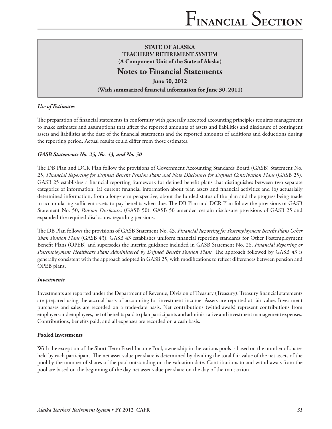# **Notes to Financial Statements**

**June 30, 2012**

**(With summarized financial information for June 30, 2011)**

#### *Use of Estimates*

The preparation of financial statements in conformity with generally accepted accounting principles requires management to make estimates and assumptions that affect the reported amounts of assets and liabilities and disclosure of contingent assets and liabilities at the date of the financial statements and the reported amounts of additions and deductions during the reporting period. Actual results could differ from those estimates.

#### *GASB Statements No. 25, No. 43, and No. 50*

The DB Plan and DCR Plan follow the provisions of Government Accounting Standards Board (GASB) Statement No. 25, *Financial Reporting for Defined Benefit Pension Plans and Note Disclosures for Defined Contribution Plans* (GASB 25). GASB 25 establishes a financial reporting framework for defined benefit plans that distinguishes between two separate categories of information: (a) current financial information about plan assets and financial activities and (b) actuarially determined information, from a long-term perspective, about the funded status of the plan and the progress being made in accumulating sufficient assets to pay benefits when due. The DB Plan and DCR Plan follow the provisions of GASB Statement No. 50, *Pension Disclosures* (GASB 50). GASB 50 amended certain disclosure provisions of GASB 25 and expanded the required disclosures regarding pensions.

The DB Plan follows the provisions of GASB Statement No. 43, *Financial Reporting for Postemployment Benefit Plans Other Than Pension Plans* (GASB 43). GASB 43 establishes uniform financial reporting standards for Other Postemployment Benefit Plans (OPEB) and supersedes the interim guidance included in GASB Statement No. 26, *Financial Reporting or Postemployment Healthcare Plans Administered by Defined Benefit Pension Plans.* The approach followed by GASB 43 is generally consistent with the approach adopted in GASB 25, with modifications to reflect differences between pension and OPEB plans.

#### *Investments*

Investments are reported under the Department of Revenue, Division of Treasury (Treasury). Treasury financial statements are prepared using the accrual basis of accounting for investment income. Assets are reported at fair value. Investment purchases and sales are recorded on a trade-date basis. Net contributions (withdrawals) represent contributions from employers and employees, net of benefits paid to plan participants and administrative and investment management expenses. Contributions, benefits paid, and all expenses are recorded on a cash basis.

#### **Pooled Investments**

With the exception of the Short-Term Fixed Income Pool, ownership in the various pools is based on the number of shares held by each participant. The net asset value per share is determined by dividing the total fair value of the net assets of the pool by the number of shares of the pool outstanding on the valuation date. Contributions to and withdrawals from the pool are based on the beginning of the day net asset value per share on the day of the transaction.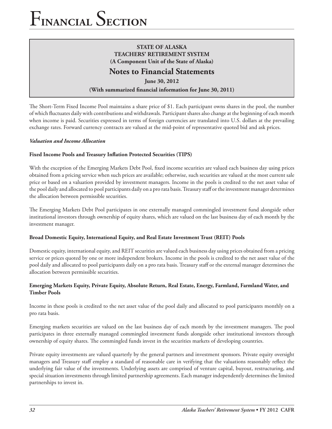## **STATE OF ALASKA TEACHERS' RETIREMENT SYSTEM (A Component Unit of the State of Alaska)**

# **Notes to Financial Statements**

**June 30, 2012**

**(With summarized financial information for June 30, 2011)**

The Short-Term Fixed Income Pool maintains a share price of \$1. Each participant owns shares in the pool, the number of which fluctuates daily with contributions and withdrawals. Participant shares also change at the beginning of each month when income is paid. Securities expressed in terms of foreign currencies are translated into U.S. dollars at the prevailing exchange rates. Forward currency contracts are valued at the mid-point of representative quoted bid and ask prices.

#### *Valuation and Income Allocation*

#### **Fixed Income Pools and Treasury Inflation Protected Securities (TIPS)**

With the exception of the Emerging Markets Debt Pool, fixed income securities are valued each business day using prices obtained from a pricing service when such prices are available; otherwise, such securities are valued at the most current sale price or based on a valuation provided by investment managers. Income in the pools is credited to the net asset value of the pool daily and allocated to pool participants daily on a pro rata basis. Treasury staff or the investment manager determines the allocation between permissible securities.

The Emerging Markets Debt Pool participates in one externally managed commingled investment fund alongside other institutional investors through ownership of equity shares, which are valued on the last business day of each month by the investment manager.

#### **Broad Domestic Equity, International Equity, and Real Estate Investment Trust (REIT) Pools**

Domestic equity, international equity, and REIT securities are valued each business day using prices obtained from a pricing service or prices quoted by one or more independent brokers. Income in the pools is credited to the net asset value of the pool daily and allocated to pool participants daily on a pro rata basis. Treasury staff or the external manager determines the allocation between permissible securities.

#### **Emerging Markets Equity, Private Equity, Absolute Return, Real Estate, Energy, Farmland, Farmland Water, and Timber Pools**

Income in these pools is credited to the net asset value of the pool daily and allocated to pool participants monthly on a pro rata basis.

Emerging markets securities are valued on the last business day of each month by the investment managers. The pool participates in three externally managed commingled investment funds alongside other institutional investors through ownership of equity shares. The commingled funds invest in the securities markets of developing countries.

Private equity investments are valued quarterly by the general partners and investment sponsors. Private equity oversight managers and Treasury staff employ a standard of reasonable care in verifying that the valuations reasonably reflect the underlying fair value of the investments. Underlying assets are comprised of venture capital, buyout, restructuring, and special situation investments through limited partnership agreements. Each manager independently determines the limited partnerships to invest in.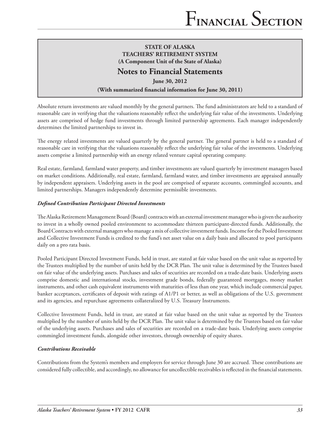# **Notes to Financial Statements**

**June 30, 2012**

#### **(With summarized financial information for June 30, 2011)**

Absolute return investments are valued monthly by the general partners. The fund administrators are held to a standard of reasonable care in verifying that the valuations reasonably reflect the underlying fair value of the investments. Underlying assets are comprised of hedge fund investments through limited partnership agreements. Each manager independently determines the limited partnerships to invest in.

The energy related investments are valued quarterly by the general partner. The general partner is held to a standard of reasonable care in verifying that the valuations reasonably reflect the underlying fair value of the investments. Underlying assets comprise a limited partnership with an energy related venture capital operating company.

Real estate, farmland, farmland water property, and timber investments are valued quarterly by investment managers based on market conditions. Additionally, real estate, farmland, farmland water, and timber investments are appraised annually by independent appraisers. Underlying assets in the pool are comprised of separate accounts, commingled accounts, and limited partnerships. Managers independently determine permissible investments.

#### *Defined Contribution Participant Directed Investments*

The Alaska Retirement Management Board (Board) contracts with an external investment manager who is given the authority to invest in a wholly owned pooled environment to accommodate thirteen participant-directed funds. Additionally, the Board Contracts with external managers who manage a mix of collective investment funds. Income for the Pooled Investment and Collective Investment Funds is credited to the fund's net asset value on a daily basis and allocated to pool participants daily on a pro rata basis.

Pooled Participant Directed Investment Funds, held in trust, are stated at fair value based on the unit value as reported by the Trustees multiplied by the number of units held by the DCR Plan. The unit value is determined by the Trustees based on fair value of the underlying assets. Purchases and sales of securities are recorded on a trade-date basis. Underlying assets comprise domestic and international stocks, investment grade bonds, federally guaranteed mortgages, money market instruments, and other cash equivalent instruments with maturities of less than one year, which include commercial paper, banker acceptances, certificates of deposit with ratings of A1/P1 or better, as well as obligations of the U.S. government and its agencies, and repurchase agreements collateralized by U.S. Treasury Instruments.

Collective Investment Funds, held in trust, are stated at fair value based on the unit value as reported by the Trustees multiplied by the number of units held by the DCR Plan. The unit value is determined by the Trustees based on fair value of the underlying assets. Purchases and sales of securities are recorded on a trade-date basis. Underlying assets comprise commingled investment funds, alongside other investors, through ownership of equity shares.

#### *Contributions Receivable*

Contributions from the System's members and employers for service through June 30 are accrued. These contributions are considered fully collectible, and accordingly, no allowance for uncollectible receivables is reflected in the financial statements.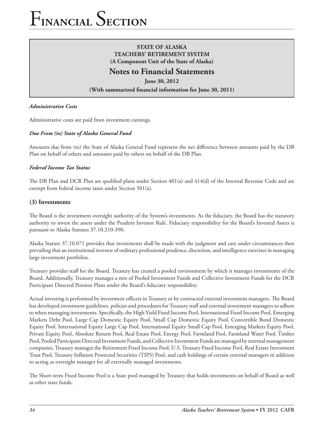### **STATE OF ALASKA TEACHERS' RETIREMENT SYSTEM (A Component Unit of the State of Alaska)**

# **Notes to Financial Statements**

**June 30, 2012**

**(With summarized financial information for June 30, 2011)**

#### *Administrative Costs*

Administrative costs are paid from investment earnings.

#### *Due From (to) State of Alaska General Fund*

Amounts due from (to) the State of Alaska General Fund represent the net difference between amounts paid by the DB Plan on behalf of others and amounts paid by others on behalf of the DB Plan.

#### *Federal Income Tax Status*

The DB Plan and DCR Plan are qualified plans under Section 401(a) and 414(d) of the Internal Revenue Code and are exempt from federal income taxes under Section 501(a).

#### **(3) Investments**

The Board is the investment oversight authority of the System's investments. As the fiduciary, the Board has the statutory authority to invest the assets under the Prudent Investor Rule. Fiduciary responsibility for the Board's Invested Assets is pursuant to Alaska Statutes 37.10.210-390.

Alaska Statute 37.10.071 provides that investments shall be made with the judgment and care under circumstances then prevailing that an institutional investor of ordinary professional prudence, discretion, and intelligence exercises in managing large investment portfolios.

Treasury provides staff for the Board. Treasury has created a pooled environment by which it manages investments of the Board. Additionally, Treasury manages a mix of Pooled Investment Funds and Collective Investment Funds for the DCR Participant Directed Pension Plans under the Board's fiduciary responsibility.

Actual investing is performed by investment officers in Treasury or by contracted external investment managers. The Board has developed investment guidelines, policies and procedures for Treasury staff and external investment managers to adhere to when managing investments. Specifically, the High Yield Fixed Income Pool, International Fixed Income Pool, Emerging Markets Debt Pool, Large Cap Domestic Equity Pool, Small Cap Domestic Equity Pool, Convertible Bond Domestic Equity Pool, International Equity Large Cap Pool, International Equity Small Cap Pool, Emerging Markets Equity Pool, Private Equity Pool, Absolute Return Pool, Real Estate Pool, Energy Pool, Farmland Pool, Farmland Water Pool, Timber Pool, Pooled Participant Directed Investment Funds, and Collective Investment Funds are managed by external management companies. Treasury manages the Retirement Fixed Income Pool, U.S. Treasury Fixed Income Pool, Real Estate Investment Trust Pool, Treasury Inflation Protected Securities (TIPS) Pool, and cash holdings of certain external managers in addition to acting as oversight manager for all externally managed investments.

The Short-term Fixed Income Pool is a State pool managed by Treasury that holds investments on behalf of Board as well as other state funds.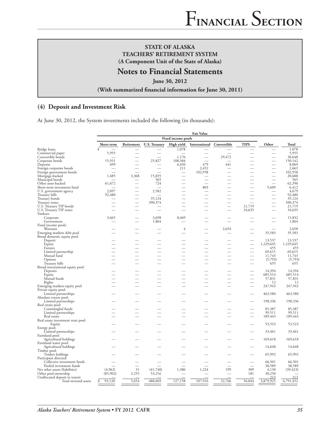# **Notes to Financial Statements**

**June 30, 2012**

**(With summarized financial information for June 30, 2011)**

## **(4) Deposit and Investment Risk**

At June 30, 2012, the System investments included the following (in thousands):

|                                                         | <b>Fair Value</b>  |            |               |            |                          |             |             |                          |                  |
|---------------------------------------------------------|--------------------|------------|---------------|------------|--------------------------|-------------|-------------|--------------------------|------------------|
|                                                         | Fixed income pools |            |               |            |                          |             |             |                          |                  |
|                                                         | Short-term         | Retirement | U.S. Treasury | High yield | International            | Convertible | <b>TIPS</b> | Other                    | <b>Total</b>     |
| Bridge loans                                            | \$                 |            |               | 1,078      |                          |             |             |                          | 1,078            |
| Commercial paper                                        | 5,955              |            |               |            |                          |             |             |                          | 5,955            |
| Convertible bonds                                       |                    |            |               | 1,176      |                          | 29,472      |             |                          | 30,648           |
| Corporate bonds                                         | 15,931             |            | 25,827        | 108,384    |                          |             | ÷           | $\overline{\phantom{0}}$ | 150,142          |
| Deposits                                                | 699                |            |               | 6,450      | 479                      | 441         |             |                          | 8,069            |
| Foreign corporate bonds                                 |                    |            |               | 211        | 2,452                    |             |             |                          | 2,663            |
| Foreign government bonds                                |                    |            |               |            | 102,958                  |             |             |                          | 102,958          |
| Mortgage-backed                                         | 1,485              | 3,368      | 15,835        |            |                          |             |             | $\overline{\phantom{0}}$ | 20,688           |
| Municipal bonds                                         |                    |            | 565           |            |                          |             |             |                          | 565              |
| Other asset-backed                                      | 61,672             |            | 724           |            | $\overline{\phantom{a}}$ |             |             |                          | 62,396           |
| Short-term investment fund                              |                    |            |               |            | 803                      |             |             | 5,609                    | 6,412            |
| U.S. government agency                                  | 2,097              |            | 2,582         |            |                          |             |             |                          | 4,679            |
| Treasury bills                                          | 92,480             |            | 35,124        |            |                          |             |             |                          | 92,480<br>35,124 |
| Treasury bonds<br>Treasury notes                        |                    |            | 390,374       |            |                          |             |             |                          | 390,374          |
| U.S. Treasury TIP bonds                                 |                    |            |               |            |                          |             | 21,719      |                          | 21,719           |
| U.S. Treasury TIP notes                                 |                    |            |               |            |                          |             | 34,635      |                          | 34,635           |
| Yankees:                                                |                    |            |               |            |                          |             |             |                          |                  |
| Corporate                                               | 3,665              |            | 3,698         | 8,469      |                          |             |             |                          | 15,832           |
| Government                                              |                    |            | 1,864         |            |                          |             |             |                          | 1,864            |
| Fixed income pools:                                     |                    |            |               |            |                          |             |             |                          |                  |
| Warrants                                                |                    |            |               | 4          |                          | 2.654       |             |                          | 2,658            |
| Emerging markets debt pool                              |                    |            |               |            |                          |             |             | 35,583                   | 35,583           |
| Broad domestic equity pool:                             |                    |            |               |            |                          |             |             |                          |                  |
| Deposit                                                 |                    |            |               |            |                          |             |             | 13,537                   | 13,537           |
| Equity                                                  |                    |            |               |            |                          |             |             | 1,229,645                | 1,229,645        |
| Futures                                                 |                    |            |               |            |                          |             |             | 455                      | 455              |
| Limited partnership                                     |                    |            |               |            |                          |             |             | 69,615                   | 69,615           |
| Mutual fund                                             |                    |            |               |            |                          |             |             | 11,743                   | 11,743           |
| Options                                                 |                    |            |               |            |                          |             |             | (5,793)                  | (5,793)          |
| Treasury bills                                          |                    |            |               |            |                          |             |             | 655                      | 655              |
| Broad international equity pool:                        |                    |            |               |            |                          |             |             |                          |                  |
| Deposits                                                |                    |            |               |            |                          |             |             | 14,394                   | 14,394           |
| Equity                                                  |                    |            |               |            |                          |             |             | 685,514                  | 685,514          |
| Mutual funds                                            |                    |            |               |            |                          |             |             | 57,831                   | 57,831           |
| Rights                                                  |                    |            |               |            |                          |             |             | 12                       | 12               |
| Emerging markets equity pool                            |                    |            |               |            |                          |             |             | 247,943                  | 247,943          |
| Private equity pool:<br>Limited partnerships            |                    |            |               |            |                          |             |             | 463,580                  | 463,580          |
| Absolute return pool:                                   |                    |            |               |            |                          |             |             |                          |                  |
| Limited partnerships                                    |                    |            |               |            |                          |             |             | 198,336                  | 198,336          |
| Real estate pool:                                       |                    |            |               |            |                          |             |             |                          |                  |
| Commingled funds                                        |                    |            |               |            |                          |             |             | 85,387                   | 85,387           |
| Limited partnerships                                    |                    |            |               |            |                          |             |             | 99,511                   | 99,511           |
| Real estate                                             |                    |            |               |            |                          |             |             | 189,443                  | 189,443          |
| Real estate investment trust pool:                      |                    |            |               |            |                          |             |             |                          |                  |
| Equity                                                  |                    |            |               |            |                          |             |             | 53,523                   | 53,523           |
| Energy pool:                                            |                    |            |               |            |                          |             |             |                          |                  |
| Limited partnerships                                    |                    |            |               |            |                          |             |             | 33,461                   | 33,461           |
| Farmland pool:                                          |                    |            |               |            |                          |             |             |                          |                  |
| Agricultural holdings                                   |                    |            |               |            |                          |             |             | 169,618                  | 169,618          |
| Farmland water pool:                                    |                    |            |               |            |                          |             |             |                          |                  |
| Agricultural holdings                                   |                    |            |               |            |                          |             |             | 14,648                   | 14,648           |
| Timber pool:                                            |                    |            |               |            |                          |             |             |                          |                  |
| Timber holdings                                         |                    |            |               |            |                          |             |             | 65,992                   | 65,992           |
| Participant directed:                                   |                    |            |               |            |                          |             |             |                          |                  |
| Collective investment funds                             |                    |            |               |            |                          |             |             | 66,501                   | 66,501           |
| Pooled investment funds                                 |                    |            |               |            |                          |             |             | 38,589                   | 38,589           |
| Net other assets (liabilities)                          | (4,962)            | 31         | (41,740)      | 1,386      | 1,224                    | 199         | 309         | 4,130                    | (39, 423)        |
| Other pool ownership                                    | (85,902)           | 2,255      | 53,216        |            |                          |             | 181         | 30,250                   |                  |
| Unallocated deposit in transit<br>Total invested assets | 93,120<br>\$       | 5,654      | 488,069       | 127,158    | 107,916                  | 32,766      | 56,844      | 213<br>3,879,925         | 213<br>4,791,452 |
|                                                         |                    |            |               |            |                          |             |             |                          |                  |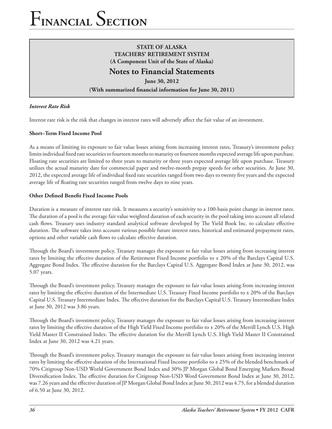## **STATE OF ALASKA TEACHERS' RETIREMENT SYSTEM (A Component Unit of the State of Alaska)**

# **Notes to Financial Statements**

**June 30, 2012**

**(With summarized financial information for June 30, 2011)**

#### *Interest Rate Risk*

Interest rate risk is the risk that changes in interest rates will adversely affect the fair value of an investment.

#### **Short–Term Fixed Income Pool**

As a means of limiting its exposure to fair value losses arising from increasing interest rates, Treasury's investment policy limits individual fixed rate securities to fourteen months to maturity or fourteen months expected average life upon purchase. Floating rate securities are limited to three years to maturity or three years expected average life upon purchase. Treasury utilizes the actual maturity date for commercial paper and twelve-month prepay speeds for other securities. At June 30, 2012, the expected average life of individual fixed rate securities ranged from two days to twenty five years and the expected average life of floating rate securities ranged from twelve days to nine years.

#### **Other Defined Benefit Fixed Income Pools**

Duration is a measure of interest rate risk. It measures a security's sensitivity to a 100-basis point change in interest rates. The duration of a pool is the average fair value weighted duration of each security in the pool taking into account all related cash flows. Treasury uses industry standard analytical software developed by The Yield Book Inc. to calculate effective duration. The software takes into account various possible future interest rates, historical and estimated prepayment rates, options and other variable cash flows to calculate effective duration.

Through the Board's investment policy, Treasury manages the exposure to fair value losses arising from increasing interest rates by limiting the effective duration of the Retirement Fixed Income portfolio to  $\pm$  20% of the Barclays Capital U.S. Aggregate Bond Index. The effective duration for the Barclays Capital U.S. Aggregate Bond Index at June 30, 2012, was 5.07 years.

Through the Board's investment policy, Treasury manages the exposure to fair value losses arising from increasing interest rates by limiting the effective duration of the Intermediate U.S. Treasury Fixed Income portfolio to ± 20% of the Barclays Capital U.S. Treasury Intermediate Index. The effective duration for the Barclays Capital U.S. Treasury Intermediate Index at June 30, 2012 was 3.86 years.

Through the Board's investment policy, Treasury manages the exposure to fair value losses arising from increasing interest rates by limiting the effective duration of the High Yield Fixed Income portfolio to ± 20% of the Merrill Lynch U.S. High Yield Master II Constrained Index. The effective duration for the Merrill Lynch U.S. High Yield Master II Constrained Index at June 30, 2012 was 4.21 years.

Through the Board's investment policy, Treasury manages the exposure to fair value losses arising from increasing interest rates by limiting the effective duration of the International Fixed Income portfolio to ± 25% of the blended benchmark of 70% Citigroup Non-USD World Government Bond Index and 30% JP Morgan Global Bond Emerging Markets Broad Diversification Index. The effective duration for Citigroup Non-USD Word Government Bond Index at June 30, 2012, was 7.26 years and the effective duration of JP Morgan Global Bond Index at June 30, 2012 was 4.75, for a blended duration of 6.50 at June 30, 2012.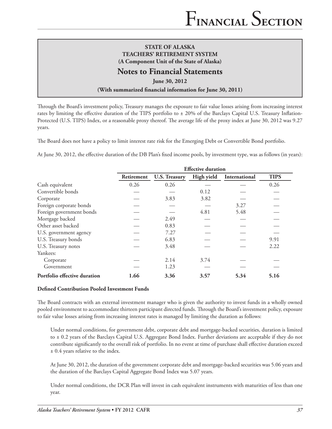# **Notes to Financial Statements**

**June 30, 2012**

#### **(With summarized financial information for June 30, 2011)**

Through the Board's investment policy, Treasury manages the exposure to fair value losses arising from increasing interest rates by limiting the effective duration of the TIPS portfolio to ± 20% of the Barclays Capital U.S. Treasury Inflation-Protected (U.S. TIPS) Index, or a reasonable proxy thereof. The average life of the proxy index at June 30, 2012 was 9.27 years.

The Board does not have a policy to limit interest rate risk for the Emerging Debt or Convertible Bond portfolio.

At June 30, 2012, the effective duration of the DB Plan's fixed income pools, by investment type, was as follows (in years):

|                              | <b>Effective duration</b> |                      |            |               |             |  |
|------------------------------|---------------------------|----------------------|------------|---------------|-------------|--|
|                              | Retirement                | <b>U.S. Treasury</b> | High yield | International | <b>TIPS</b> |  |
| Cash equivalent              | 0.26                      | 0.26                 |            |               | 0.26        |  |
| Convertible bonds            |                           |                      | 0.12       |               |             |  |
| Corporate                    |                           | 3.83                 | 3.82       |               |             |  |
| Foreign corporate bonds      |                           |                      |            | 3.27          |             |  |
| Foreign government bonds     |                           |                      | 4.81       | 5.48          |             |  |
| Mortgage backed              |                           | 2.49                 |            |               |             |  |
| Other asset backed           |                           | 0.83                 |            |               |             |  |
| U.S. government agency       |                           | 7.27                 |            |               |             |  |
| U.S. Treasury bonds          |                           | 6.83                 |            |               | 9.91        |  |
| U.S. Treasury notes          |                           | 3.48                 |            |               | 2.22        |  |
| Yankees:                     |                           |                      |            |               |             |  |
| Corporate                    |                           | 2.14                 | 3.74       |               |             |  |
| Government                   |                           | 1.23                 |            |               |             |  |
| Portfolio effective duration | 1.66                      | 3.36                 | 3.57       | 5.34          | 5.16        |  |

#### **Defined Contribution Pooled Investment Funds**

The Board contracts with an external investment manager who is given the authority to invest funds in a wholly owned pooled environment to accommodate thirteen participant directed funds. Through the Board's investment policy, exposure to fair value losses arising from increasing interest rates is managed by limiting the duration as follows:

Under normal conditions, for government debt, corporate debt and mortgage-backed securities, duration is limited to ± 0.2 years of the Barclays Capital U.S. Aggregate Bond Index. Further deviations are acceptable if they do not contribute significantly to the overall risk of portfolio. In no event at time of purchase shall effective duration exceed ± 0.4 years relative to the index.

At June 30, 2012, the duration of the government corporate debt and mortgage-backed securities was 5.06 years and the duration of the Barclays Capital Aggregate Bond Index was 5.07 years.

Under normal conditions, the DCR Plan will invest in cash equivalent instruments with maturities of less than one year.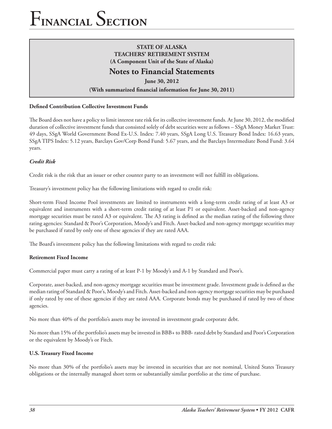### **STATE OF ALASKA TEACHERS' RETIREMENT SYSTEM (A Component Unit of the State of Alaska)**

# **Notes to Financial Statements**

**June 30, 2012**

#### **(With summarized financial information for June 30, 2011)**

#### **Defined Contribution Collective Investment Funds**

The Board does not have a policy to limit interest rate risk for its collective investment funds. At June 30, 2012, the modified duration of collective investment funds that consisted solely of debt securities were as follows – SSgA Money Market Trust: 49 days, SSgA World Government Bond Ex-U.S. Index: 7.40 years, SSgA Long U.S. Treasury Bond Index: 16.63 years, SSgA TIPS Index: 5.12 years, Barclays Gov/Corp Bond Fund: 5.67 years, and the Barclays Intermediate Bond Fund: 3.64 years.

#### *Credit Risk*

Credit risk is the risk that an issuer or other counter party to an investment will not fulfill its obligations.

Treasury's investment policy has the following limitations with regard to credit risk:

Short-term Fixed Income Pool investments are limited to instruments with a long-term credit rating of at least A3 or equivalent and instruments with a short-term credit rating of at least P1 or equivalent. Asset-backed and non-agency mortgage securities must be rated A3 or equivalent. The A3 rating is defined as the median rating of the following three rating agencies: Standard & Poor's Corporation, Moody's and Fitch. Asset-backed and non-agency mortgage securities may be purchased if rated by only one of these agencies if they are rated AAA.

The Board's investment policy has the following limitations with regard to credit risk:

#### **Retirement Fixed Income**

Commercial paper must carry a rating of at least P-1 by Moody's and A-1 by Standard and Poor's.

Corporate, asset-backed, and non-agency mortgage securities must be investment grade. Investment grade is defined as the median rating of Standard & Poor's, Moody's and Fitch. Asset-backed and non-agency mortgage securities may be purchased if only rated by one of these agencies if they are rated AAA. Corporate bonds may be purchased if rated by two of these agencies.

No more than 40% of the portfolio's assets may be invested in investment grade corporate debt.

No more than 15% of the portfolio's assets may be invested in BBB+ to BBB- rated debt by Standard and Poor's Corporation or the equivalent by Moody's or Fitch.

#### **U.S. Treasury Fixed Income**

No more than 30% of the portfolio's assets may be invested in securities that are not nominal, United States Treasury obligations or the internally managed short term or substantially similar portfolio at the time of purchase.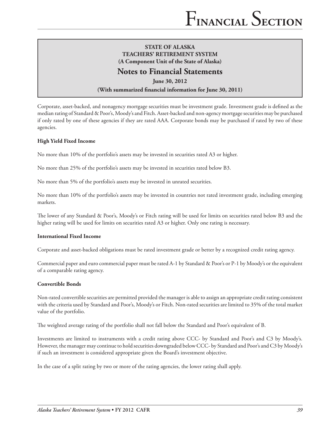# **Notes to Financial Statements**

**June 30, 2012**

#### **(With summarized financial information for June 30, 2011)**

Corporate, asset-backed, and nonagency mortgage securities must be investment grade. Investment grade is defined as the median rating of Standard & Poor's, Moody's and Fitch. Asset-backed and non-agency mortgage securities may be purchased if only rated by one of these agencies if they are rated AAA. Corporate bonds may be purchased if rated by two of these agencies.

#### **High Yield Fixed Income**

No more than 10% of the portfolio's assets may be invested in securities rated A3 or higher.

No more than 25% of the portfolio's assets may be invested in securities rated below B3.

No more than 5% of the portfolio's assets may be invested in unrated securities.

No more than 10% of the portfolio's assets may be invested in countries not rated investment grade, including emerging markets.

The lower of any Standard & Poor's, Moody's or Fitch rating will be used for limits on securities rated below B3 and the higher rating will be used for limits on securities rated A3 or higher. Only one rating is necessary.

#### **International Fixed Income**

Corporate and asset-backed obligations must be rated investment grade or better by a recognized credit rating agency.

Commercial paper and euro commercial paper must be rated A-1 by Standard & Poor's or P-1 by Moody's or the equivalent of a comparable rating agency.

#### **Convertible Bonds**

Non-rated convertible securities are permitted provided the manager is able to assign an appropriate credit rating consistent with the criteria used by Standard and Poor's, Moody's or Fitch. Non-rated securities are limited to 35% of the total market value of the portfolio.

The weighted average rating of the portfolio shall not fall below the Standard and Poor's equivalent of B.

Investments are limited to instruments with a credit rating above CCC- by Standard and Poor's and C3 by Moody's. However, the manager may continue to hold securities downgraded below CCC- by Standard and Poor's and C3 by Moody's if such an investment is considered appropriate given the Board's investment objective.

In the case of a split rating by two or more of the rating agencies, the lower rating shall apply.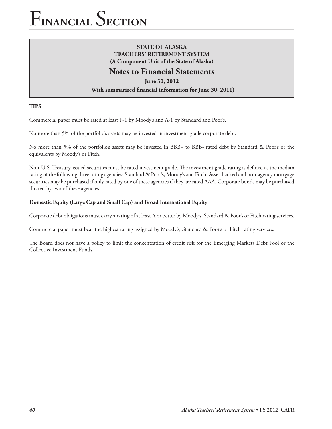## **STATE OF ALASKA TEACHERS' RETIREMENT SYSTEM (A Component Unit of the State of Alaska)**

# **Notes to Financial Statements**

**June 30, 2012**

**(With summarized financial information for June 30, 2011)**

#### **TIPS**

Commercial paper must be rated at least P-1 by Moody's and A-1 by Standard and Poor's.

No more than 5% of the portfolio's assets may be invested in investment grade corporate debt.

No more than 5% of the portfolio's assets may be invested in BBB+ to BBB- rated debt by Standard & Poor's or the equivalents by Moody's or Fitch.

Non-U.S. Treasury-issued securities must be rated investment grade. The investment grade rating is defined as the median rating of the following three rating agencies: Standard & Poor's, Moody's and Fitch. Asset-backed and non-agency mortgage securities may be purchased if only rated by one of these agencies if they are rated AAA. Corporate bonds may be purchased if rated by two of these agencies.

#### **Domestic Equity (Large Cap and Small Cap) and Broad International Equity**

Corporate debt obligations must carry a rating of at least A or better by Moody's, Standard & Poor's or Fitch rating services.

Commercial paper must bear the highest rating assigned by Moody's, Standard & Poor's or Fitch rating services.

The Board does not have a policy to limit the concentration of credit risk for the Emerging Markets Debt Pool or the Collective Investment Funds.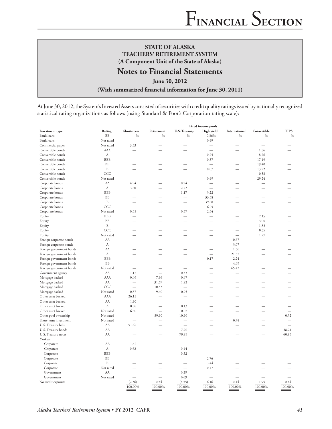# **Notes to Financial Statements**

**June 30, 2012**

**(With summarized financial information for June 30, 2011)**

At June 30, 2012, the System's Invested Assets consisted of securities with credit quality ratings issued by nationally recognized statistical rating organizations as follows (using Standard & Poor's Corporation rating scale):

|                          |                  |                          |                          |                          | <u>Fixed income pools</u> |                          |                          |             |
|--------------------------|------------------|--------------------------|--------------------------|--------------------------|---------------------------|--------------------------|--------------------------|-------------|
| Investment type          | Rating           | Short-term               | Retirement               | <b>U.S. Treasury</b>     | High yield                | International            | Convertible              | <b>TIPS</b> |
| <b>Bank</b> loans        | <b>BB</b>        | $-$ %                    | $-$ %                    | $-$ %                    | 0.36%                     | $-$ %                    | $-$ %                    | $-$ %       |
| Bank loans               | Not rated        | $\frac{1}{2}$            | $\overline{\phantom{0}}$ | $\overline{\phantom{0}}$ | 0.49                      |                          |                          |             |
| Commercial paper         | Not rated        | 3.33                     |                          |                          |                           |                          |                          |             |
| Convertible bonds        | AAA              | $\overline{\phantom{0}}$ |                          |                          |                           | ÷.                       | 1.56                     |             |
| Convertible bonds        | A                |                          |                          |                          | 0.25                      |                          | 8.26                     |             |
| Convertible bonds        | <b>BBB</b>       |                          |                          |                          | 0.37                      |                          | 17.19                    |             |
| Convertible bonds        | <b>BB</b>        | $\overline{\phantom{a}}$ |                          | and the                  | $\overline{\phantom{0}}$  | $\overline{\phantom{0}}$ | 19.40                    |             |
| Convertible bonds        | $\, {\bf B}$     |                          |                          |                          | 0.07                      |                          | 13.72                    |             |
| Convertible bonds        | CCC              |                          |                          |                          |                           |                          | 0.58                     |             |
| Convertible bonds        | Not rated        |                          | $\overline{\phantom{a}}$ |                          | 0.49                      | $\overline{\phantom{0}}$ | 29.24                    |             |
| Corporate bonds          | AA               | 4.94                     |                          | 0.94                     |                           |                          |                          |             |
| Corporate bonds          | A                | 3.60                     |                          | 2.72                     |                           |                          |                          |             |
| Corporate bonds          | <b>BBB</b>       | $\sim$                   | $\overline{\phantom{a}}$ | 1.17                     | 3.22                      |                          |                          |             |
| Corporate bonds          | <b>BB</b>        |                          |                          |                          | 33.38                     |                          |                          |             |
| Corporate bonds          | $\, {\bf B}$     |                          |                          |                          | 39.68                     |                          |                          |             |
| Corporate bonds          | CCC              |                          |                          |                          | 6.25                      |                          |                          |             |
| Corporate bonds          | Not rated        | 0.35                     | $\overline{\phantom{0}}$ | 0.57                     | 2.44                      | ÷.                       | $\sim$                   |             |
| Equity                   | <b>BBB</b>       |                          |                          |                          |                           |                          | 2.15                     |             |
| Equity                   | <b>BB</b>        |                          |                          |                          |                           |                          | 3.00                     |             |
| Equity                   | B                | $\overline{\phantom{0}}$ | $\overline{\phantom{0}}$ |                          |                           |                          | 1.33                     |             |
| Equity                   | CCC              |                          |                          |                          |                           |                          | 0.35                     |             |
| Equity                   | Not rated        |                          |                          |                          |                           |                          | 1.27                     |             |
| Foreign corporate bonds  | AA               |                          |                          |                          | $\overline{\phantom{0}}$  | 0.67                     |                          |             |
| Foreign corporate bonds  | $\boldsymbol{A}$ |                          |                          |                          |                           | 3.07                     |                          |             |
| Foreign government bonds | AA               |                          |                          |                          |                           | 1.56                     |                          |             |
| Foreign government bonds | А                |                          |                          |                          | $\overline{\phantom{0}}$  | 21.37                    |                          |             |
| Foreign government bonds | <b>BBB</b>       |                          |                          |                          | 0.17                      | 2.24                     |                          |             |
| Foreign government bonds | BB               |                          |                          |                          |                           | 4.49                     |                          |             |
| Foreign government bonds | Not rated        |                          |                          |                          |                           | 65.42                    |                          |             |
| Government agency        | AA               | 1.17                     |                          | 0.53                     |                           |                          |                          |             |
| Mortgage backed          | AAA              | 0.46                     | 7.96                     | 0.47                     |                           |                          |                          |             |
| Mortgage backed          | AA               |                          | 31.67                    | 1.82                     |                           |                          |                          |             |
| Mortgage backed          | CCC              | ÷                        | 10.53                    |                          |                           |                          |                          |             |
| Mortgage backed          | Not rated        | 0.37                     | 9.40                     | 0.95                     |                           |                          |                          |             |
| Other asset backed       | AAA              | 26.15                    |                          |                          |                           |                          |                          |             |
| Other asset backed       | AA               | 1.90                     | $\overline{\phantom{0}}$ | $\overline{\phantom{m}}$ |                           | ÷.                       |                          |             |
| Other asset backed       | A                | 0.08                     |                          | 0.13                     |                           |                          |                          |             |
| Other asset backed       | Not rated        | 6.30                     | $=$                      | 0.02                     |                           |                          |                          |             |
| Other pool ownership     | Not rated        | $\sim$                   | 39.90                    | 10.90                    | $\overline{\phantom{a}}$  | $\sim$                   | $\overline{\phantom{0}}$ | 0.32        |
| Short-term investment    | Not rated        | $\overline{\phantom{0}}$ |                          |                          |                           | 0.74                     |                          |             |
| U.S. Treasury bills      | AA               | 51.67                    |                          |                          |                           |                          |                          |             |
| U.S. Treasury bonds      | AA               |                          |                          | 7.20                     |                           |                          |                          | 38.21       |
| U.S. Treasury notes      | AA               |                          |                          | 79.99                    |                           |                          |                          | 60.93       |
| Yankees:                 |                  |                          |                          |                          |                           |                          |                          |             |
| Corporate                | AA               | 1.42                     |                          |                          |                           |                          |                          |             |
| Corporate                | $\boldsymbol{A}$ | 0.62                     |                          | 0.44                     |                           |                          |                          |             |
| Corporate                | <b>BBB</b>       |                          |                          | 0.32                     |                           |                          |                          |             |
| Corporate                | <b>BB</b>        |                          | $\overline{\phantom{0}}$ |                          | 2.76                      | $\overline{\phantom{a}}$ |                          |             |
| Corporate                | $\, {\bf B}$     |                          |                          |                          | 3.44                      |                          |                          |             |
| Corporate                | Not rated        |                          |                          |                          | 0.47                      |                          |                          |             |
| Government               | AA               |                          |                          | 0.29                     |                           |                          |                          |             |
| Government               | Not rated        |                          |                          | 0.09                     |                           |                          |                          |             |
| No credit exposure       |                  | (2.36)                   | 0.54                     | (8.55)                   | 6.16                      | 0.44                     | 1.95                     | 0.54        |
|                          |                  | 100.00%                  | 100.00%                  | 100.00%                  | 100.00%                   | 100.00%                  | 100.00%                  | 100.00%     |
|                          |                  |                          |                          |                          |                           |                          |                          |             |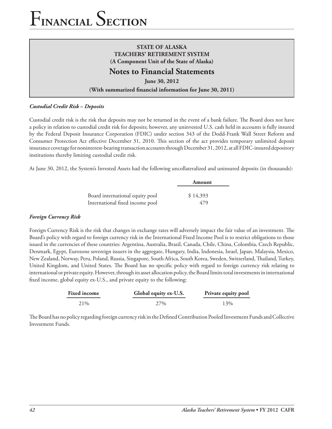### **STATE OF ALASKA TEACHERS' RETIREMENT SYSTEM (A Component Unit of the State of Alaska)**

# **Notes to Financial Statements**

**June 30, 2012**

#### **(With summarized financial information for June 30, 2011)**

### *Custodial Credit Risk – Deposits*

Custodial credit risk is the risk that deposits may not be returned in the event of a bank failure. The Board does not have a policy in relation to custodial credit risk for deposits; however, any uninvested U.S. cash held in accounts is fully insured by the Federal Deposit Insurance Corporation (FDIC) under section 343 of the Dodd-Frank Wall Street Reform and Consumer Protection Act effective December 31, 2010. This section of the act provides temporary unlimited deposit insurance coverage for noninterest-bearing transaction accounts through December 31, 2012, at all FDIC-insured depository institutions thereby limiting custodial credit risk.

At June 30, 2012, the System's Invested Assets had the following uncollateralized and uninsured deposits (in thousands):

|                                 | Amount   |
|---------------------------------|----------|
|                                 |          |
| Board international equity pool | \$14,393 |
| International fixed income pool | 479      |

#### *Foreign Currency Risk*

Foreign Currency Risk is the risk that changes in exchange rates will adversely impact the fair value of an investment. The Board's policy with regard to foreign currency risk in the International Fixed Income Pool is to restrict obligations to those issued in the currencies of these countries: Argentina, Australia, Brazil, Canada, Chile, China, Colombia, Czech Republic, Denmark, Egypt, Eurozone sovereign issuers in the aggregate, Hungary, India, Indonesia, Israel, Japan, Malaysia, Mexico, New Zealand, Norway, Peru, Poland, Russia, Singapore, South Africa, South Korea, Sweden, Switzerland, Thailand, Turkey, United Kingdom, and United States. The Board has no specific policy with regard to foreign currency risk relating to international or private equity. However, through its asset allocation policy, the Board limits total investments in international fixed income, global equity ex-U.S., and private equity to the following:

| <b>Fixed income</b> | Global equity ex-U.S. | Private equity pool |
|---------------------|-----------------------|---------------------|
| 21\%                | $27\%$                | 13%                 |

The Board has no policy regarding foreign currency risk in the Defined Contribution Pooled Investment Funds and Collective Investment Funds.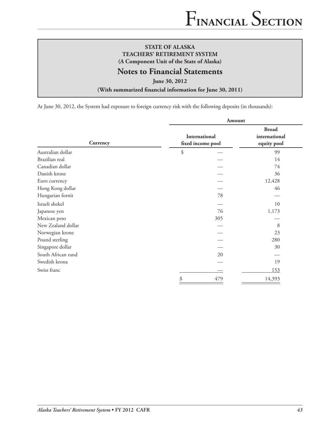# **Notes to Financial Statements**

**June 30, 2012**

**(With summarized financial information for June 30, 2011)**

At June 30, 2012, the System had exposure to foreign currency risk with the following deposits (in thousands):

|                    | Amount                             |                                              |  |  |  |
|--------------------|------------------------------------|----------------------------------------------|--|--|--|
| Currency           | International<br>fixed income pool | <b>Broad</b><br>international<br>equity pool |  |  |  |
| Australian dollar  | \$                                 | 99                                           |  |  |  |
| Brazilian real     |                                    | 14                                           |  |  |  |
| Canadian dollar    |                                    | 74                                           |  |  |  |
| Danish krone       |                                    | 36                                           |  |  |  |
| Euro currency      |                                    | 12,428                                       |  |  |  |
| Hong Kong dollar   |                                    | 46                                           |  |  |  |
| Hungarian fornit   | 78                                 |                                              |  |  |  |
| Israeli shekel     |                                    | 10                                           |  |  |  |
| Japanese yen       | 76                                 | 1,173                                        |  |  |  |
| Mexican peso       | 305                                |                                              |  |  |  |
| New Zealand dollar |                                    | 8                                            |  |  |  |
| Norwegian krone    |                                    | 23                                           |  |  |  |
| Pound sterling     |                                    | 280                                          |  |  |  |
| Singapore dollar   |                                    | 30                                           |  |  |  |
| South African rand | 20                                 |                                              |  |  |  |
| Swedish krona      |                                    | 19                                           |  |  |  |
| Swiss franc        |                                    | 153                                          |  |  |  |
|                    | 479<br>\$                          | 14,393                                       |  |  |  |
|                    |                                    |                                              |  |  |  |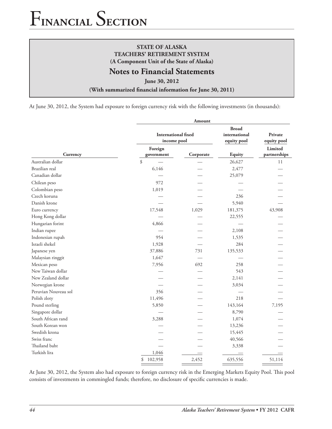# **Notes to Financial Statements**

**June 30, 2012**

**(With summarized financial information for June 30, 2011)**

At June 30, 2012, the System had exposure to foreign currency risk with the following investments (in thousands):

|                      | Amount                                    |                                              |                        |                         |  |  |
|----------------------|-------------------------------------------|----------------------------------------------|------------------------|-------------------------|--|--|
|                      | <b>International fixed</b><br>income pool | <b>Broad</b><br>international<br>equity pool | Private<br>equity pool |                         |  |  |
| Currency             | Foreign<br>government                     | Corporate                                    | Equity                 | Limited<br>partnerships |  |  |
| Australian dollar    | \$                                        |                                              | 26,627                 | 11                      |  |  |
| Brazilian real       | 6,146                                     |                                              | 2,477                  |                         |  |  |
| Canadian dollar      |                                           |                                              | 25,079                 |                         |  |  |
| Chilean peso         | 972                                       |                                              |                        |                         |  |  |
| Colombian peso       | 1,019                                     |                                              |                        |                         |  |  |
| Czech koruna         |                                           |                                              | 236                    |                         |  |  |
| Danish krone         |                                           |                                              | 5,940                  |                         |  |  |
| Euro currency        | 17,548                                    | 1,029                                        | 181,375                | 43,908                  |  |  |
| Hong Kong dollar     |                                           |                                              | 22,555                 |                         |  |  |
| Hungarian forint     | 4,866                                     |                                              |                        |                         |  |  |
| Indian rupee         |                                           |                                              | 2,108                  |                         |  |  |
| Indonesian rupah     | 954                                       |                                              | 1,535                  |                         |  |  |
| Israeli shekel       | 1,928                                     |                                              | 284                    |                         |  |  |
| Japanese yen         | 37,886                                    | 731                                          | 135,533                |                         |  |  |
| Malaysian ringgit    | 1,647                                     |                                              |                        |                         |  |  |
| Mexican peso         | 7,956                                     | 692                                          | 258                    |                         |  |  |
| New Taiwan dollar    |                                           |                                              | 543                    |                         |  |  |
| New Zealand dollar   |                                           |                                              | 2,141                  |                         |  |  |
| Norwegian krone      |                                           |                                              | 3,034                  |                         |  |  |
| Peruvian Nouveau sol | 356                                       |                                              |                        |                         |  |  |
| Polish zloty         | 11,496                                    |                                              | 218                    |                         |  |  |
| Pound sterling       | 5,850                                     |                                              | 143,164                | 7,195                   |  |  |
| Singapore dollar     |                                           |                                              | 8,790                  |                         |  |  |
| South African rand   | 3,288                                     |                                              | 1,074                  |                         |  |  |
| South Korean won     |                                           |                                              | 13,236                 |                         |  |  |
| Swedish krona        |                                           |                                              | 15,445                 |                         |  |  |
| Swiss franc          |                                           |                                              | 40,566                 |                         |  |  |
| Thailand baht        |                                           |                                              | 3,338                  |                         |  |  |
| Turkish lira         | 1,046                                     |                                              |                        |                         |  |  |
|                      | 102,958<br>\$                             | 2,452                                        | 635,556                | 51,114                  |  |  |

At June 30, 2012, the System also had exposure to foreign currency risk in the Emerging Markets Equity Pool. This pool consists of investments in commingled funds; therefore, no disclosure of specific currencies is made.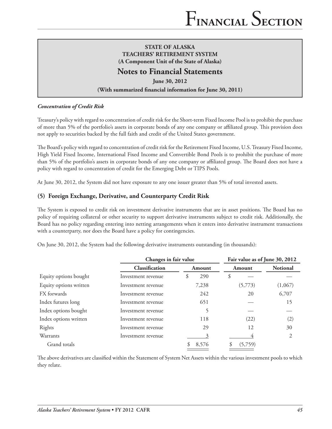# **Notes to Financial Statements**

**June 30, 2012**

#### **(With summarized financial information for June 30, 2011)**

#### *Concentration of Credit Risk*

Treasury's policy with regard to concentration of credit risk for the Short-term Fixed Income Pool is to prohibit the purchase of more than 5% of the portfolio's assets in corporate bonds of any one company or affiliated group. This provision does not apply to securities backed by the full faith and credit of the United States government.

The Board's policy with regard to concentration of credit risk for the Retirement Fixed Income, U.S. Treasury Fixed Income, High Yield Fixed Income, International Fixed Income and Convertible Bond Pools is to prohibit the purchase of more than 5% of the portfolio's assets in corporate bonds of any one company or affiliated group. The Board does not have a policy with regard to concentration of credit for the Emerging Debt or TIPS Pools.

At June 30, 2012, the System did not have exposure to any one issuer greater than 5% of total invested assets.

## **(5) Foreign Exchange, Derivative, and Counterparty Credit Risk**

The System is exposed to credit risk on investment derivative instruments that are in asset positions. The Board has no policy of requiring collateral or other security to support derivative instruments subject to credit risk. Additionally, the Board has no policy regarding entering into netting arrangements when it enters into derivative instrument transactions with a counterparty, nor does the Board have a policy for contingencies.

On June 30, 2012, the System had the following derivative instruments outstanding (in thousands):

|                        |                    | Changes in fair value |         |                 |
|------------------------|--------------------|-----------------------|---------|-----------------|
|                        | Classification     | Amount                | Amount  | <b>Notional</b> |
| Equity options bought  | Investment revenue | \$<br>290             | \$      |                 |
| Equity options written | Investment revenue | 7,238                 | (5,773) | (1,067)         |
| FX forwards            | Investment revenue | 242                   | 20      | 6,707           |
| Index futures long     | Investment revenue | 651                   |         | 15              |
| Index options bought   | Investment revenue | 5                     |         |                 |
| Index options written  | Investment revenue | 118                   | (22)    | (2)             |
| Rights                 | Investment revenue | 29                    | 12      | 30              |
| Warrants               | Investment revenue |                       |         | 2               |
| Grand totals           |                    | 8,576                 | (5,759) |                 |

The above derivatives are classified within the Statement of System Net Assets within the various investment pools to which they relate.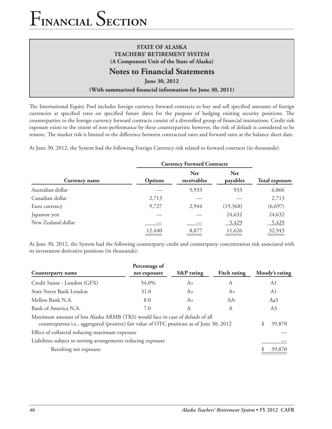### **STATE OF ALASKA TEACHERS' RETIREMENT SYSTEM (A Component Unit of the State of Alaska)**

# **Notes to Financial Statements**

**June 30, 2012**

**(With summarized financial information for June 30, 2011)**

The International Equity Pool includes foreign currency forward contracts to buy and sell specified amounts of foreign currencies at specified rates on specified future dates for the purpose of hedging existing security positions. The counterparties to the foreign currency forward contracts consist of a diversified group of financial institutions. Credit risk exposure exists to the extent of non-performance by these counterparties; however, the risk of default is considered to be remote. The market risk is limited to the difference between contractual rates and forward rates at the balance sheet date.

At June 30, 2012, the System had the following Foreign Currency risk related to forward contracts (in thousands):

|                    |         | <b>Currency Forward Contracts</b> |                        |                |  |  |
|--------------------|---------|-----------------------------------|------------------------|----------------|--|--|
| Currency name      | Options | <b>Net</b><br>receivables         | <b>Net</b><br>payables | Total exposure |  |  |
| Australian dollar  |         | 5,933                             | 933                    | 6,866          |  |  |
| Canadian dollar    | 2,713   |                                   |                        | 2,713          |  |  |
| Euro currency      | 9,727   | 2.944                             | (19,368)               | (6,697)        |  |  |
| Japanese yen       |         |                                   | 24,632                 | 24,632         |  |  |
| New Zealand dollar |         |                                   | 5,429                  | 5,429          |  |  |
|                    | 12,440  | 8,877                             | 11,626                 | 32,943         |  |  |

At June 30, 2012, the System had the following counterparty credit and counterparty concentration risk associated with its investment derivative positions (in thousands):

| Counterparty name                                                                                                                                                           | Percentage of<br>net exposure | S&P rating | Fitch rating | Moody's rating |
|-----------------------------------------------------------------------------------------------------------------------------------------------------------------------------|-------------------------------|------------|--------------|----------------|
| Credit Suisse - London (GFX)                                                                                                                                                | 54.0%                         | $A_{+}$    | A            | A1             |
| State Street Bank London                                                                                                                                                    | 31.0                          | $A_{+}$    | A+           | A1             |
| Mellon Bank N.A.                                                                                                                                                            | 8.0                           | $A_{+}$    | $AA-$        | Aa3            |
| Bank of America N.A.                                                                                                                                                        | 7.0                           | A          | A            | A3             |
| Maximum amount of loss Alaska ARMB (TRS) would face in case of default of all<br>counterparties i.e., aggregated (positive) fair value of OTC positions as of June 30, 2012 |                               |            |              | 39,870         |
| Effect of collateral reducing maximum exposure                                                                                                                              |                               |            |              |                |
| Liabilities subject to netting arrangements reducing exposure                                                                                                               |                               |            |              |                |
| Resulting net exposure                                                                                                                                                      |                               |            |              | 39,870         |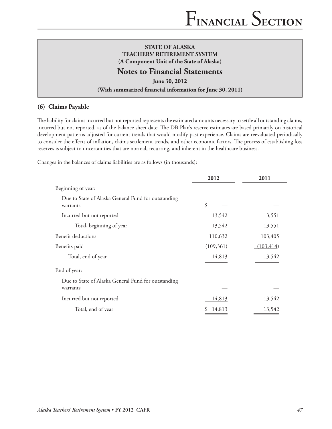# **Notes to Financial Statements**

**June 30, 2012**

**(With summarized financial information for June 30, 2011)**

## **(6) Claims Payable**

The liability for claims incurred but not reported represents the estimated amounts necessary to settle all outstanding claims, incurred but not reported, as of the balance sheet date. The DB Plan's reserve estimates are based primarily on historical development patterns adjusted for current trends that would modify past experience. Claims are reevaluated periodically to consider the effects of inflation, claims settlement trends, and other economic factors. The process of establishing loss reserves is subject to uncertainties that are normal, recurring, and inherent in the healthcare business.

Changes in the balances of claims liabilities are as follows (in thousands):

|                                                                 | 2012       | 2011       |
|-----------------------------------------------------------------|------------|------------|
| Beginning of year:                                              |            |            |
| Due to State of Alaska General Fund for outstanding<br>warrants | \$         |            |
| Incurred but not reported                                       | 13,542     | 13,551     |
| Total, beginning of year                                        | 13,542     | 13,551     |
| Benefit deductions                                              | 110,632    | 103,405    |
| Benefits paid                                                   | (109, 361) | (103, 414) |
| Total, end of year                                              | 14,813     | 13,542     |
| End of year:                                                    |            |            |
| Due to State of Alaska General Fund for outstanding<br>warrants |            |            |
| Incurred but not reported                                       | 14,813     | 13,542     |
| Total, end of year                                              | 14,813     | 13,542     |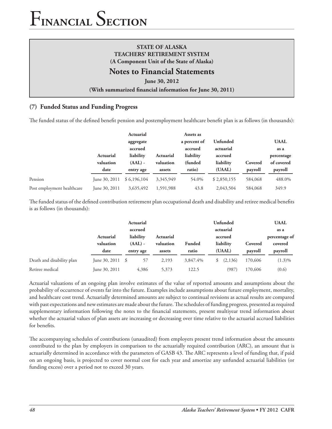## **STATE OF ALASKA TEACHERS' RETIREMENT SYSTEM (A Component Unit of the State of Alaska)**

# **Notes to Financial Statements**

**June 30, 2012**

#### **(With summarized financial information for June 30, 2011)**

## **(7) Funded Status and Funding Progress**

The funded status of the defined benefit pension and postemployment healthcare benefit plan is as follows (in thousands):

|                            |                  | Actuarial   |           | Assets as    |             |         |             |
|----------------------------|------------------|-------------|-----------|--------------|-------------|---------|-------------|
|                            |                  | aggregate   |           | a percent of | Unfunded    |         | <b>UAAL</b> |
|                            |                  | accrued     |           | accrued      | actuarial   |         | as a        |
|                            | <b>Actuarial</b> | liability   | Actuarial | liability    | accrued     |         | percentage  |
|                            | valuation        | $(AAL)$ -   | valuation | (funded      | liability   | Covered | of covered  |
|                            | date             | entry age   | assets    | ratio)       | (UAAL)      | payroll | payroll     |
| Pension                    | June 30, 2011    | \$6,196,104 | 3,345,949 | 54.0%        | \$2,850,155 | 584,068 | 488.0%      |
| Post employment healthcare | June 30, 2011    | 3,635,492   | 1,591,988 | 43.8         | 2,043,504   | 584,068 | 349.9       |

The funded status of the defined contribution retirement plan occupational death and disability and retiree medical benefits is as follows (in thousands):

|                           |                               | Actuarial |                  |           |               | Unfunded  |           |               | <b>UAAL</b> |  |
|---------------------------|-------------------------------|-----------|------------------|-----------|---------------|-----------|-----------|---------------|-------------|--|
|                           |                               |           | accrued          |           |               |           | actuarial |               | as a        |  |
|                           | liability<br><b>Actuarial</b> |           | <b>Actuarial</b> |           | accrued       |           |           | percentage of |             |  |
|                           | valuation                     |           | $(AAL)$ -        | valuation | <b>Funded</b> | liability |           | Covered       | covered     |  |
|                           | date                          |           | entry age        | assets    | ratio         |           | (UAAL)    | payroll       | payroll     |  |
| Death and disability plan | June 30, 2011                 | \$.       | 57               | 2,193     | 3,847.4%      |           | (2,136)   | 170,606       | $(1.3)\%$   |  |
| Retiree medical           | June 30, 2011                 |           | 4,386            | 5,373     | 122.5         |           | (987)     | 170,606       | (0.6)       |  |

Actuarial valuations of an ongoing plan involve estimates of the value of reported amounts and assumptions about the probability of occurrence of events far into the future. Examples include assumptions about future employment, mortality, and healthcare cost trend. Actuarially determined amounts are subject to continual revisions as actual results are compared with past expectations and new estimates are made about the future. The schedules of funding progress, presented as required supplementary information following the notes to the financial statements, present multiyear trend information about whether the actuarial values of plan assets are increasing or decreasing over time relative to the actuarial accrued liabilities for benefits.

The accompanying schedules of contributions (unaudited) from employers present trend information about the amounts contributed to the plan by employers in comparison to the actuarially required contribution (ARC), an amount that is actuarially determined in accordance with the parameters of GASB 43. The ARC represents a level of funding that, if paid on an ongoing basis, is projected to cover normal cost for each year and amortize any unfunded actuarial liabilities (or funding excess) over a period not to exceed 30 years.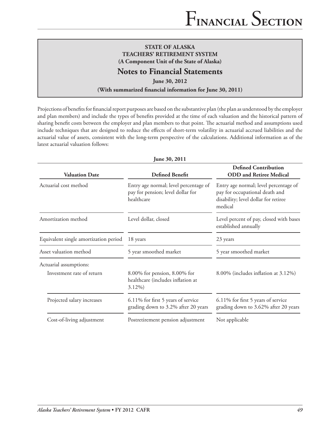# **Notes to Financial Statements**

**June 30, 2012**

**(With summarized financial information for June 30, 2011)**

Projections of benefits for financial report purposes are based on the substantive plan (the plan as understood by the employer and plan members) and include the types of benefits provided at the time of each valuation and the historical pattern of sharing benefit costs between the employer and plan members to that point. The actuarial method and assumptions used include techniques that are designed to reduce the effects of short-term volatility in actuarial accrued liabilities and the actuarial value of assets, consistent with the long-term perspective of the calculations. Additional information as of the latest actuarial valuation follows:

| <b>Valuation Date</b>                 | <b>Defined Benefit</b>                                                                   | <b>Defined Contribution</b><br><b>ODD</b> and Retiree Medical                                                              |  |
|---------------------------------------|------------------------------------------------------------------------------------------|----------------------------------------------------------------------------------------------------------------------------|--|
| Actuarial cost method                 | Entry age normal; level percentage of<br>pay for pension; level dollar for<br>healthcare | Entry age normal; level percentage of<br>pay for occupational death and<br>disability; level dollar for retiree<br>medical |  |
| Amortization method                   | Level dollar, closed                                                                     | Level percent of pay, closed with bases<br>established annually                                                            |  |
| Equivalent single amortization period | 18 years                                                                                 | 23 years                                                                                                                   |  |
| Asset valuation method                | 5 year smoothed market                                                                   | 5 year smoothed market                                                                                                     |  |
| Actuarial assumptions:                |                                                                                          |                                                                                                                            |  |
| Investment rate of return             | 8.00% for pension, 8.00% for<br>healthcare (includes inflation at<br>$3.12\%$            | 8.00% (includes inflation at 3.12%)                                                                                        |  |
| Projected salary increases            | 6.11% for first 5 years of service<br>grading down to 3.2% after 20 years                | 6.11% for first 5 years of service<br>grading down to 3.62% after 20 years                                                 |  |
| Cost-of-living adjustment             | Postretirement pension adjustment                                                        | Not applicable                                                                                                             |  |

**June 30, 2011**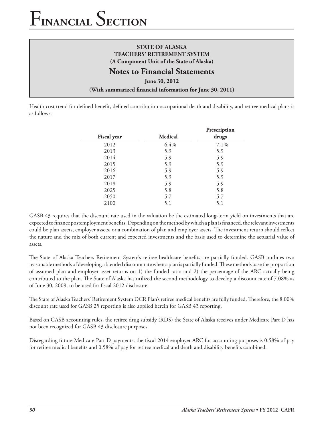## **STATE OF ALASKA TEACHERS' RETIREMENT SYSTEM (A Component Unit of the State of Alaska)**

# **Notes to Financial Statements**

**June 30, 2012**

**(With summarized financial information for June 30, 2011)**

Health cost trend for defined benefit, defined contribution occupational death and disability, and retiree medical plans is as follows:

|                    |                | Prescription |
|--------------------|----------------|--------------|
| <b>Fiscal year</b> | <b>Medical</b> | drugs        |
| 2012               | 6.4%           | 7.1%         |
| 2013               | 5.9            | 5.9          |
| 2014               | 5.9            | 5.9          |
| 2015               | 5.9            | 5.9          |
| 2016               | 5.9            | 5.9          |
| 2017               | 5.9            | 5.9          |
| 2018               | 5.9            | 5.9          |
| 2025               | 5.8            | 5.8          |
| 2050               | 5.7            | 5.7          |
| 2100               | 5.1            | 5.1          |

GASB 43 requires that the discount rate used in the valuation be the estimated long-term yield on investments that are expected to finance postemployment benefits. Depending on the method by which a plan is financed, the relevant investments could be plan assets, employer assets, or a combination of plan and employer assets. The investment return should reflect the nature and the mix of both current and expected investments and the basis used to determine the actuarial value of assets.

The State of Alaska Teachers Retirement System's retiree healthcare benefits are partially funded. GASB outlines two reasonable methods of developing a blended discount rate when a plan is partially funded. These methods base the proportion of assumed plan and employer asset returns on 1) the funded ratio and 2) the percentage of the ARC actually being contributed to the plan. The State of Alaska has utilized the second methodology to develop a discount rate of 7.08% as of June 30, 2009, to be used for fiscal 2012 disclosure.

The State of Alaska Teachers' Retirement System DCR Plan's retiree medical benefits are fully funded. Therefore, the 8.00% discount rate used for GASB 25 reporting is also applied herein for GASB 43 reporting.

Based on GASB accounting rules, the retiree drug subsidy (RDS) the State of Alaska receives under Medicare Part D has not been recognized for GASB 43 disclosure purposes.

Disregarding future Medicare Part D payments, the fiscal 2014 employer ARC for accounting purposes is 0.58% of pay for retiree medical benefits and 0.58% of pay for retiree medical and death and disability benefits combined.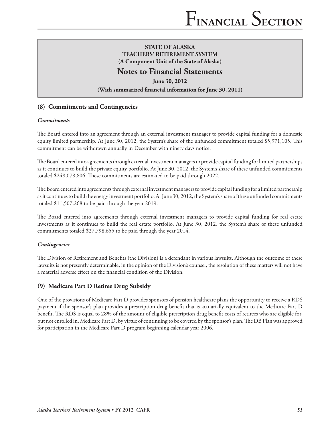# **Notes to Financial Statements**

**June 30, 2012**

#### **(With summarized financial information for June 30, 2011)**

### **(8) Commitments and Contingencies**

#### *Commitments*

The Board entered into an agreement through an external investment manager to provide capital funding for a domestic equity limited partnership. At June 30, 2012, the System's share of the unfunded commitment totaled \$5,971,105. This commitment can be withdrawn annually in December with ninety days notice.

The Board entered into agreements through external investment managers to provide capital funding for limited partnerships as it continues to build the private equity portfolio. At June 30, 2012, the System's share of these unfunded commitments totaled \$248,078,806. These commitments are estimated to be paid through 2022.

The Board entered into agreements through external investment managers to provide capital funding for a limited partnership as it continues to build the energy investment portfolio. At June 30, 2012, the System's share of these unfunded commitments totaled \$11,507,268 to be paid through the year 2019.

The Board entered into agreements through external investment managers to provide capital funding for real estate investments as it continues to build the real estate portfolio. At June 30, 2012, the System's share of these unfunded commitments totaled \$27,798,655 to be paid through the year 2014.

#### *Contingencies*

The Division of Retirement and Benefits (the Division) is a defendant in various lawsuits. Although the outcome of these lawsuits is not presently determinable, in the opinion of the Division's counsel, the resolution of these matters will not have a material adverse effect on the financial condition of the Division.

## **(9) Medicare Part D Retiree Drug Subsidy**

One of the provisions of Medicare Part D provides sponsors of pension healthcare plans the opportunity to receive a RDS payment if the sponsor's plan provides a prescription drug benefit that is actuarially equivalent to the Medicare Part D benefit. The RDS is equal to 28% of the amount of eligible prescription drug benefit costs of retirees who are eligible for, but not enrolled in, Medicare Part D, by virtue of continuing to be covered by the sponsor's plan. The DB Plan was approved for participation in the Medicare Part D program beginning calendar year 2006.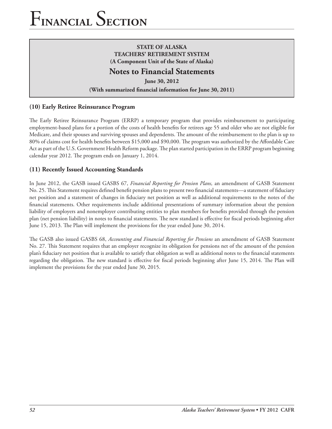## **STATE OF ALASKA TEACHERS' RETIREMENT SYSTEM (A Component Unit of the State of Alaska)**

# **Notes to Financial Statements**

**June 30, 2012**

**(With summarized financial information for June 30, 2011)**

## **(10) Early Retiree Reinsurance Program**

The Early Retiree Reinsurance Program (ERRP) a temporary program that provides reimbursement to participating employment-based plans for a portion of the costs of health benefits for retirees age 55 and older who are not eligible for Medicare, and their spouses and surviving spouses and dependents. The amount of the reimbursement to the plan is up to 80% of claims cost for health benefits between \$15,000 and \$90,000. The program was authorized by the Affordable Care Act as part of the U.S. Government Health Reform package. The plan started participation in the ERRP program beginning calendar year 2012. The program ends on January 1, 2014.

## **(11) Recently Issued Accounting Standards**

In June 2012, the GASB issued GASBS 67, *Financial Reporting for Pension Plans,* an amendment of GASB Statement No. 25. This Statement requires defined benefit pension plans to present two financial statements—a statement of fiduciary net position and a statement of changes in fiduciary net position as well as additional requirements to the notes of the financial statements. Other requirements include additional presentations of summary information about the pension liability of employers and nonemployer contributing entities to plan members for benefits provided through the pension plan (net pension liability) in notes to financial statements. The new standard is effective for fiscal periods beginning after June 15, 2013. The Plan will implement the provisions for the year ended June 30, 2014.

The GASB also issued GASBS 68, *Accounting and Financial Reporting for Pensions* an amendment of GASB Statement No. 27. This Statement requires that an employer recognize its obligation for pensions net of the amount of the pension plan's fiduciary net position that is available to satisfy that obligation as well as additional notes to the financial statements regarding the obligation. The new standard is effective for fiscal periods beginning after June 15, 2014. The Plan will implement the provisions for the year ended June 30, 2015.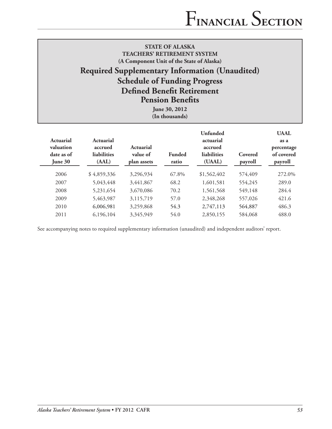# **Required Supplementary Information (Unaudited) Schedule of Funding Progress Defined Benefit Retirement Pension Benefits**

**June 30, 2012 (In thousands)**

| Actuarial<br>valuation<br>date as of<br>June 30 | Actuarial<br>accrued<br><b>liabilities</b><br>(AAL) | Actuarial<br>value of<br>plan assets | <b>Funded</b><br>ratio | <b>Unfunded</b><br>actuarial<br>accrued<br><b>liabilities</b><br>(UAAL) | Covered<br>payroll | <b>UAAL</b><br>as a<br>percentage<br>of covered<br>payroll |
|-------------------------------------------------|-----------------------------------------------------|--------------------------------------|------------------------|-------------------------------------------------------------------------|--------------------|------------------------------------------------------------|
| 2006                                            | \$4,859,336                                         | 3,296,934                            | 67.8%                  | \$1,562,402                                                             | 574,409            | 272.0%                                                     |
| 2007                                            | 5,043,448                                           | 3,441,867                            | 68.2                   | 1,601,581                                                               | 554,245            | 289.0                                                      |
| 2008                                            | 5,231,654                                           | 3,670,086                            | 70.2                   | 1,561,568                                                               | 549,148            | 284.4                                                      |
| 2009                                            | 5,463,987                                           | 3,115,719                            | 57.0                   | 2,348,268                                                               | 557,026            | 421.6                                                      |
| 2010                                            | 6,006,981                                           | 3,259,868                            | 54.3                   | 2,747,113                                                               | 564,887            | 486.3                                                      |
| 2011                                            | 6,196,104                                           | 3,345,949                            | 54.0                   | 2,850,155                                                               | 584,068            | 488.0                                                      |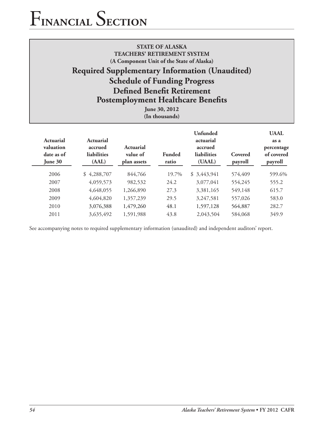# **STATE OF ALASKA TEACHERS' RETIREMENT SYSTEM (A Component Unit of the State of Alaska) Required Supplementary Information (Unaudited) Schedule of Funding Progress Defined Benefit Retirement Postemployment Healthcare Benefits**

**June 30, 2012 (In thousands)**

| Actuarial<br>valuation<br>date as of<br>June 30 | Actuarial<br>accrued<br>liabilities<br>(AAL) | Actuarial<br>value of<br>plan assets | <b>Funded</b><br>ratio | <b>Unfunded</b><br>actuarial<br>accrued<br>liabilities<br>(UAAL) | Covered<br>payroll | <b>UAAL</b><br>as a<br>percentage<br>of covered<br>payroll |
|-------------------------------------------------|----------------------------------------------|--------------------------------------|------------------------|------------------------------------------------------------------|--------------------|------------------------------------------------------------|
| 2006                                            | 4,288,707<br>\$                              | 844,766                              | 19.7%                  | \$3,443,941                                                      | 574,409            | 599.6%                                                     |
| 2007                                            | 4,059,573                                    | 982,532                              | 24.2                   | 3,077,041                                                        | 554,245            | 555.2                                                      |
| 2008                                            | 4,648,055                                    | 1,266,890                            | 27.3                   | 3,381,165                                                        | 549,148            | 615.7                                                      |
| 2009                                            | 4,604,820                                    | 1,357,239                            | 29.5                   | 3,247,581                                                        | 557,026            | 583.0                                                      |
| 2010                                            | 3,076,388                                    | 1,479,260                            | 48.1                   | 1,597,128                                                        | 564,887            | 282.7                                                      |
| 2011                                            | 3,635,492                                    | 1,591,988                            | 43.8                   | 2,043,504                                                        | 584,068            | 349.9                                                      |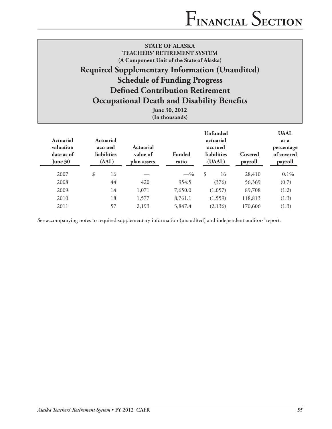| <b>STATE OF ALASKA</b>                                |
|-------------------------------------------------------|
| TEACHERS' RETIREMENT SYSTEM                           |
| (A Component Unit of the State of Alaska)             |
| <b>Required Supplementary Information (Unaudited)</b> |
| <b>Schedule of Funding Progress</b>                   |
| <b>Defined Contribution Retirement</b>                |
| <b>Occupational Death and Disability Benefits</b>     |
| $T_{\text{max}}$ 20 2012                              |

**June 30, 2012 (In thousands)**

| Actuarial<br>valuation<br>date as of<br>June 30 | Actuarial<br>accrued<br><b>liabilities</b><br>(AAL) | Actuarial<br>value of<br>plan assets | <b>Funded</b><br>ratio | <b>Unfunded</b><br>actuarial<br>accrued<br>liabilities<br>(UAAL) | Covered<br>payroll | <b>UAAL</b><br>as a<br>percentage<br>of covered<br>payroll |
|-------------------------------------------------|-----------------------------------------------------|--------------------------------------|------------------------|------------------------------------------------------------------|--------------------|------------------------------------------------------------|
| 2007                                            | \$<br>16                                            |                                      | $-$ %                  | \$<br>16                                                         | 28,410             | $0.1\%$                                                    |
| 2008                                            | 44                                                  | 420                                  | 954.5                  | (376)                                                            | 56,369             | (0.7)                                                      |
| 2009                                            | 14                                                  | 1,071                                | 7,650.0                | (1,057)                                                          | 89,708             | (1.2)                                                      |
| 2010                                            | 18                                                  | 1,577                                | 8,761.1                | (1, 559)                                                         | 118,813            | (1.3)                                                      |
| 2011                                            | 57                                                  | 2,193                                | 3,847.4                | (2,136)                                                          | 170,606            | (1.3)                                                      |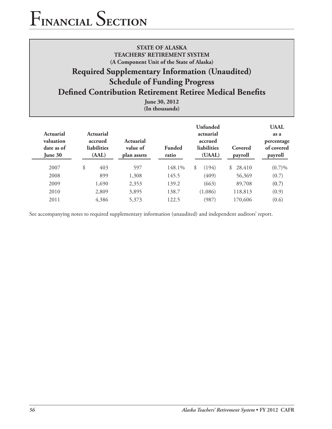# **STATE OF ALASKA TEACHERS' RETIREMENT SYSTEM (A Component Unit of the State of Alaska) Required Supplementary Information (Unaudited) Schedule of Funding Progress Defined Contribution Retirement Retiree Medical Benefits June 30, 2012 (In thousands)**

| Actuarial<br>valuation<br>date as of<br>June 30 | Actuarial<br>accrued<br><b>liabilities</b><br>(AAL) | <b>Actuarial</b><br>value of<br>plan assets | <b>Funded</b><br>ratio | <b>Unfunded</b><br>actuarial<br>accrued<br>liabilities<br>(UAAL) | Covered<br>payroll | <b>UAAL</b><br>as a<br>percentage<br>of covered<br>payroll |
|-------------------------------------------------|-----------------------------------------------------|---------------------------------------------|------------------------|------------------------------------------------------------------|--------------------|------------------------------------------------------------|
| 2007                                            | \$<br>403                                           | 597                                         | 148.1%                 | \$<br>(194)                                                      | \$28,410           | $(0.7)\%$                                                  |
| 2008                                            | 899                                                 | 1,308                                       | 145.5                  | (409)                                                            | 56,369             | (0.7)                                                      |
| 2009                                            | 1,690                                               | 2,353                                       | 139.2                  | (663)                                                            | 89,708             | (0.7)                                                      |
| 2010                                            | 2,809                                               | 3,895                                       | 138.7                  | (1,086)                                                          | 118,813            | (0.9)                                                      |
| 2011                                            | 4,386                                               | 5,373                                       | 122.5                  | (987)                                                            | 170,606            | (0.6)                                                      |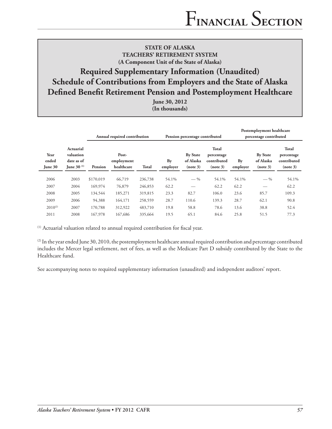# **Required Supplementary Information (Unaudited) Schedule of Contributions from Employers and the State of Alaska Defined Benefit Retirement Pension and Postemployment Healthcare**

**June 30, 2012 (In thousands)**

|                          |                                                              | Annual required contribution<br>Pension percentage contributed |                                   |              |                |                                          |                                                |                | Postemployment healthcare<br>percentage contributed |                                                       |  |
|--------------------------|--------------------------------------------------------------|----------------------------------------------------------------|-----------------------------------|--------------|----------------|------------------------------------------|------------------------------------------------|----------------|-----------------------------------------------------|-------------------------------------------------------|--|
| Year<br>ended<br>June 30 | <b>Actuarial</b><br>valuation<br>date as of<br>June 30 $(1)$ | <b>Pension</b>                                                 | Post-<br>employment<br>healthcare | <b>Total</b> | By<br>employer | <b>By State</b><br>of Alaska<br>(note 3) | Total<br>percentage<br>contributed<br>(note 3) | By<br>employer | <b>By State</b><br>of Alaska<br>(note 3)            | <b>Total</b><br>percentage<br>contributed<br>(note 3) |  |
| 2006                     | 2003                                                         | \$170,019                                                      | 66,719                            | 236,738      | 54.1%          | $-$ %                                    | 54.1%                                          | 54.1%          | $-$ %                                               | 54.1%                                                 |  |
| 2007                     | 2004                                                         | 169,974                                                        | 76,879                            | 246,853      | 62.2           | $\overline{\phantom{0}}$                 | 62.2                                           | 62.2           | —                                                   | 62.2                                                  |  |
| 2008                     | 2005                                                         | 134,544                                                        | 185,271                           | 319,815      | 23.3           | 82.7                                     | 106.0                                          | 23.6           | 85.7                                                | 109.3                                                 |  |
| 2009                     | 2006                                                         | 94,388                                                         | 164,171                           | 258,559      | 28.7           | 110.6                                    | 139.3                                          | 28.7           | 62.1                                                | 90.8                                                  |  |
| $2010^{(2)}$             | 2007                                                         | 170,788                                                        | 312,922                           | 483,710      | 19.8           | 58.8                                     | 78.6                                           | 13.6           | 38.8                                                | 52.4                                                  |  |
| 2011                     | 2008                                                         | 167,978                                                        | 167,686                           | 335,664      | 19.5           | 65.1                                     | 84.6                                           | 25.8           | 51.5                                                | 77.3                                                  |  |

(1) Actuarial valuation related to annual required contribution for fiscal year.

 $^{(2)}$  In the year ended June 30, 2010, the postemployment healthcare annual required contribution and percentage contributed includes the Mercer legal settlement, net of fees, as well as the Medicare Part D subsidy contributed by the State to the Healthcare fund.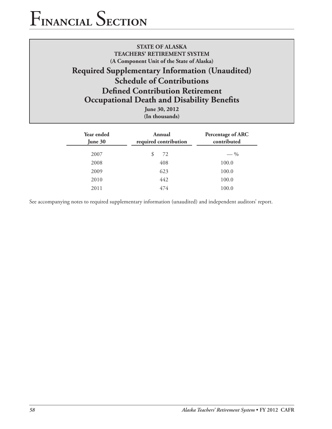# **STATE OF ALASKA TEACHERS' RETIREMENT SYSTEM (A Component Unit of the State of Alaska) Required Supplementary Information (Unaudited) Schedule of Contributions Defined Contribution Retirement Occupational Death and Disability Benefits**

**June 30, 2012 (In thousands)**

| Year ended<br>June $30$ | Annual<br>required contribution | Percentage of ARC<br>contributed |
|-------------------------|---------------------------------|----------------------------------|
| 2007                    | \$<br>72                        | $-$ %                            |
| 2008                    | 408                             | 100.0                            |
| 2009                    | 623                             | 100.0                            |
| 2010                    | 442                             | 100.0                            |
| 2011                    | 474                             | 100.0                            |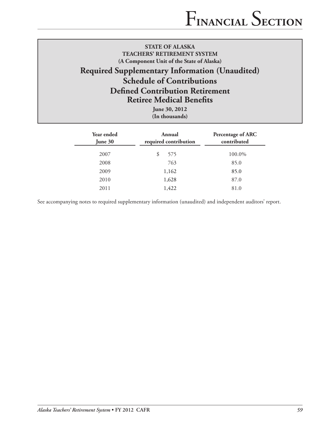# **Required Supplementary Information (Unaudited)**

# **Schedule of Contributions Defined Contribution Retirement Retiree Medical Benefits**

**June 30, 2012 (In thousands)**

| Year ended<br>June 30 | Annual<br>required contribution | Percentage of ARC<br>contributed |
|-----------------------|---------------------------------|----------------------------------|
| 2007                  | \$<br>575                       | 100.0%                           |
| 2008                  | 763                             | 85.0                             |
| 2009                  | 1,162                           | 85.0                             |
| 2010                  | 1,628                           | 87.0                             |
| 2011                  | 1,422                           | 81.0                             |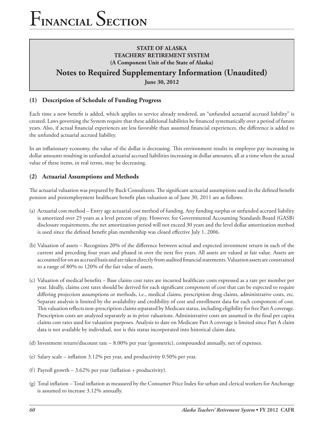# **Notes to Required Supplementary Information (Unaudited)**

**June 30, 2012**

## **(1) Description of Schedule of Funding Progress**

Each time a new benefit is added, which applies to service already rendered, an "unfunded actuarial accrued liability" is created. Laws governing the System require that these additional liabilities be financed systematically over a period of future years. Also, if actual financial experiences are less favorable than assumed financial experiences, the difference is added to the unfunded actuarial accrued liability.

In an inflationary economy, the value of the dollar is decreasing. This environment results in employee pay increasing in dollar amounts resulting in unfunded actuarial accrued liabilities increasing in dollar amounts, all at a time when the actual value of these items, in real terms, may be decreasing.

## **(2) Actuarial Assumptions and Methods**

The actuarial valuation was prepared by Buck Consultants. The significant actuarial assumptions used in the defined benefit pension and postemployment healthcare benefit plan valuation as of June 30, 2011 are as follows:

- (a) Actuarial cost method Entry age actuarial cost method of funding. Any funding surplus or unfunded accrued liability is amortized over 25 years as a level percent of pay. However, for Governmental Accounting Standards Board (GASB) disclosure requirements, the net amortization period will not exceed 30 years and the level dollar amortization method is used since the defined benefit plan membership was closed effective July 1, 2006.
- (b) Valuation of assets Recognizes 20% of the difference between actual and expected investment return in each of the current and preceding four years and phased in over the next five years. All assets are valued at fair value. Assets are accounted for on an accrued basis and are taken directly from audited financial statements. Valuation assets are constrained to a range of 80% to 120% of the fair value of assets.
- (c) Valuation of medical benefits Base claims cost rates are incurred healthcare costs expressed as a rate per member per year. Ideally, claims cost rates should be derived for each significant component of cost that can be expected to require differing projection assumptions or methods, i.e., medical claims, prescription drug claims, administrative costs, etc. Separate analysis is limited by the availability and credibility of cost and enrollment data for each component of cost. This valuation reflects non-prescription claims separated by Medicare status, including eligibility for free Part A coverage. Prescription costs are analyzed separately as in prior valuations. Administrative costs are assumed in the final per capita claims cost rates used for valuation purposes. Analysis to date on Medicare Part A coverage is limited since Part A claim data is not available by individual, nor is this status incorporated into historical claim data.
- (d) Investment return/discount rate 8.00% per year (geometric), compounded annually, net of expenses.
- (e) Salary scale inflation 3.12% per year, and productivity 0.50% per year.
- (f) Payroll growth  $-3.62\%$  per year (inflation + productivity).
- (g) Total inflation Total inflation as measured by the Consumer Price Index for urban and clerical workers for Anchorage is assumed to increase 3.12% annually.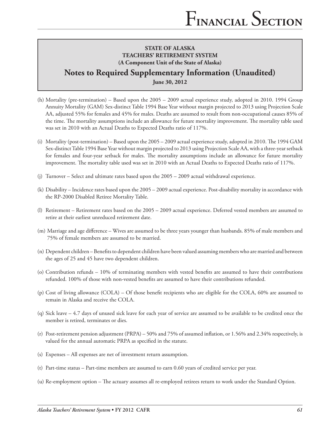# **Notes to Required Supplementary Information (Unaudited)**

**June 30, 2012**

- (h) Mortality (pre-termination) Based upon the 2005 2009 actual experience study, adopted in 2010. 1994 Group Annuity Mortality (GAM) Sex-distinct Table 1994 Base Year without margin projected to 2013 using Projection Scale AA, adjusted 55% for females and 45% for males. Deaths are assumed to result from non-occupational causes 85% of the time. The mortality assumptions include an allowance for future mortality improvement. The mortality table used was set in 2010 with an Actual Deaths to Expected Deaths ratio of 117%.
- (i) Mortality (post-termination) Based upon the 2005 2009 actual experience study, adopted in 2010. The 1994 GAM Sex-distinct Table 1994 Base Year without margin projected to 2013 using Projection Scale AA, with a three-year setback for females and four-year setback for males. The mortality assumptions include an allowance for future mortality improvement. The mortality table used was set in 2010 with an Actual Deaths to Expected Deaths ratio of 117%.
- (j) Turnover Select and ultimate rates based upon the 2005 2009 actual withdrawal experience.
- (k) Disability Incidence rates based upon the 2005 2009 actual experience. Post-disability mortality in accordance with the RP-2000 Disabled Retiree Mortality Table.
- (l) Retirement Retirement rates based on the 2005 2009 actual experience. Deferred vested members are assumed to retire at their earliest unreduced retirement date.
- (m) Marriage and age difference Wives are assumed to be three years younger than husbands. 85% of male members and 75% of female members are assumed to be married.
- (n) Dependent children Benefits to dependent children have been valued assuming members who are married and between the ages of 25 and 45 have two dependent children.
- (o) Contribution refunds 10% of terminating members with vested benefits are assumed to have their contributions refunded. 100% of those with non-vested benefits are assumed to have their contributions refunded.
- (p) Cost of living allowance (COLA) Of those benefit recipients who are eligible for the COLA, 60% are assumed to remain in Alaska and receive the COLA.
- (q) Sick leave 4.7 days of unused sick leave for each year of service are assumed to be available to be credited once the member is retired, terminates or dies.
- (r) Post-retirement pension adjustment (PRPA) 50% and 75% of assumed inflation, or 1.56% and 2.34% respectively, is valued for the annual automatic PRPA as specified in the statute.
- (s) Expenses All expenses are net of investment return assumption.
- (t) Part-time status Part-time members are assumed to earn 0.60 years of credited service per year.
- (u) Re-employment option The actuary assumes all re-employed retirees return to work under the Standard Option.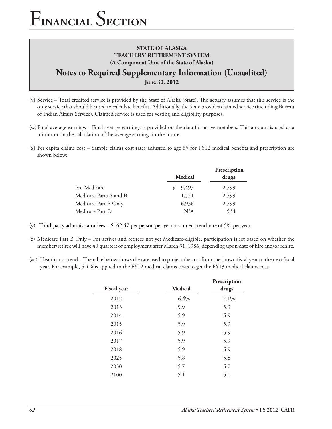**Notes to Required Supplementary Information (Unaudited) June 30, 2012**

- (v) Service Total credited service is provided by the State of Alaska (State). The actuary assumes that this service is the only service that should be used to calculate benefits. Additionally, the State provides claimed service (including Bureau of Indian Affairs Service). Claimed service is used for vesting and eligibility purposes.
- (w)Final average earnings Final average earnings is provided on the data for active members. This amount is used as a minimum in the calculation of the average earnings in the future.
- (x) Per capita claims cost Sample claims cost rates adjusted to age 65 for FY12 medical benefits and prescription are shown below:

| <b>Medical</b> | Prescription<br>drugs |
|----------------|-----------------------|
| 9,497<br>\$.   | 2,799                 |
| 1,551          | 2,799                 |
| 6,936          | 2,799                 |
| N/A            | 534                   |
|                |                       |

- (y) Third-party administrator fees \$162.47 per person per year; assumed trend rate of 5% per year.
- (z) Medicare Part B Only For actives and retirees not yet Medicare-eligible, participation is set based on whether the member/retiree will have 40 quarters of employment after March 31, 1986, depending upon date of hire and/or rehire.
- (aa) Health cost trend The table below shows the rate used to project the cost from the shown fiscal year to the next fiscal year. For example, 6.4% is applied to the FY12 medical claims costs to get the FY13 medical claims cost.

| <b>Medical</b> | Prescription<br>drugs |
|----------------|-----------------------|
| 6.4%           | 7.1%                  |
| 5.9            | 5.9                   |
| 5.9            | 5.9                   |
| 5.9            | 5.9                   |
| 5.9            | 5.9                   |
| 5.9            | 5.9                   |
| 5.9            | 5.9                   |
| 5.8            | 5.8                   |
| 5.7            | 5.7                   |
| 5.1            | 5.1                   |
|                |                       |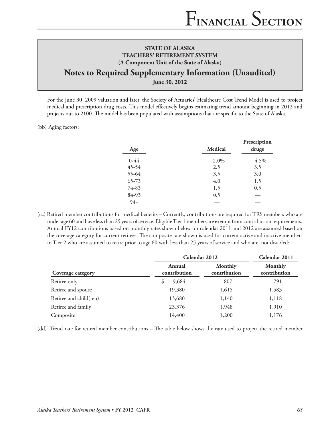# **Notes to Required Supplementary Information (Unaudited)**

**June 30, 2012**

For the June 30, 2009 valuation and later, the Society of Actuaries' Healthcare Cost Trend Model is used to project medical and prescription drug costs. This model effectively begins estimating trend amount beginning in 2012 and projects out to 2100. The model has been populated with assumptions that are specific to the State of Alaska.

#### (bb) Aging factors:

| Age       | Medical | Prescription<br>drugs |
|-----------|---------|-----------------------|
| $0-44$    | 2.0%    | 4.5%                  |
| 45-54     | 2.5     | 3.5                   |
| 55-64     | 3.5     | 3.0                   |
| $65 - 73$ | 4.0     | 1.5                   |
| 74-83     | 1.5     | 0.5                   |
| 84-93     | 0.5     |                       |
| $94+$     |         |                       |

(cc) Retired member contributions for medical benefits – Currently, contributions are required for TRS members who are under age 60 and have less than 25 years of service. Eligible Tier 1 members are exempt from contribution requirements. Annual FY12 contributions based on monthly rates shown below for calendar 2011 and 2012 are assumed based on the coverage category for current retirees. The composite rate shown is used for current active and inactive members in Tier 2 who are assumed to retire prior to age 60 with less than 25 years of service and who are not disabled:

|                        | Calendar 2012          | Calendar 2011           |                         |
|------------------------|------------------------|-------------------------|-------------------------|
| Coverage category      | Annual<br>contribution | Monthly<br>contribution | Monthly<br>contribution |
| Retiree only           | 9,684<br>\$            | 807                     | 791                     |
| Retiree and spouse     | 19,380                 | 1,615                   | 1,583                   |
| Retiree and child(ren) | 13,680                 | 1,140                   | 1,118                   |
| Retiree and family     | 23,376                 | 1,948                   | 1,910                   |
| Composite              | 14,400                 | 1,200                   | 1,176                   |

(dd) Trend rate for retired member contributions – The table below shows the rate used to project the retired member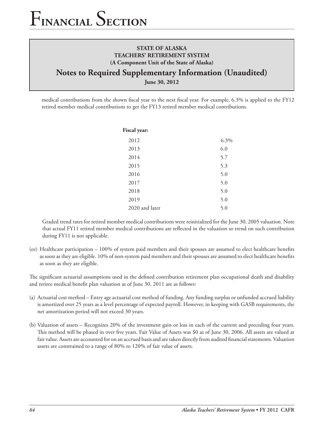# **Notes to Required Supplementary Information (Unaudited)**

**June 30, 2012**

medical contributions from the shown fiscal year to the next fiscal year. For example, 6.3% is applied to the FY12 retired member medical contributions to get the FY13 retired member medical contributions.

| Fiscal year:   |      |
|----------------|------|
| 2012           | 6.3% |
| 2013           | 6.0  |
| 2014           | 5.7  |
| 2015           | 5.3  |
| 2016           | 5.0  |
| 2017           | 5.0  |
| 2018           | 5.0  |
| 2019           | 5.0  |
| 2020 and later | 5.0  |

Graded trend rates for retired member medical contributions were reinitialized for the June 30, 2005 valuation. Note that actual FY11 retired member medical contributions are reflected in the valuation so trend on such contribution during FY11 is not applicable.

(ee) Healthcare participation – 100% of system paid members and their spouses are assumed to elect healthcare benefits as soon as they are eligible. 10% of non-system paid members and their spouses are assumed to elect healthcare benefits as soon as they are eligible.

The significant actuarial assumptions used in the defined contribution retirement plan occupational death and disability and retiree medical benefit plan valuation as of June 30, 2011 are as follows:

- (a) Actuarial cost method Entry age actuarial cost method of funding. Any funding surplus or unfunded accrued liability is amortized over 25 years as a level percentage of expected payroll. However, in keeping with GASB requirements, the net amortization period will not exceed 30 years.
- (b) Valuation of assets Recognizes 20% of the investment gain or loss in each of the current and preceding four years. This method will be phased in over five years. Fair Value of Assets was \$0 as of June 30, 2006. All assets are valued at fair value. Assets are accounted for on an accrued basis and are taken directly from audited financial statements. Valuation assets are constrained to a range of 80% to 120% of fair value of assets.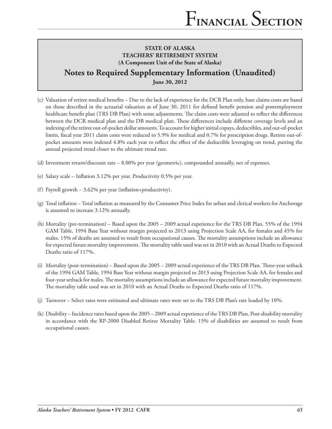# **Notes to Required Supplementary Information (Unaudited) June 30, 2012**

- (c) Valuation of retiree medical benefits Due to the lack of experience for the DCR Plan only, base claims costs are based on those described in the actuarial valuation as of June 30, 2011 for defined benefit pension and postemployment healthcare benefit plan (TRS DB Plan) with some adjustments. The claim costs were adjusted to reflect the differences between the DCR medical plan and the DB medical plan. These differences include different coverage levels and an indexing of the retiree out-of-pocket dollar amounts. To account for higher initial copays, deductibles, and out-of-pocket limits, fiscal year 2011 claim costs were reduced to 5.9% for medical and 0.7% for prescription drugs. Retiree out-ofpocket amounts were indexed 4.8% each year to reflect the effect of the deductible leveraging on trend, putting the annual projected trend closer to the ultimate trend rate.
- (d) Investment return/discount rate 8.00% per year (geometric), compounded annually, net of expenses.
- (e) Salary scale Inflation 3.12% per year. Productivity 0.5% per year.
- (f) Payroll growth 3.62% per year (inflation+productivity).
- (g) Total inflation Total inflation as measured by the Consumer Price Index for urban and clerical workers for Anchorage is assumed to increase 3.12% annually.
- (h) Mortality (pre-termination) Based upon the 2005 2009 actual experience for the TRS DB Plan. 55% of the 1994 GAM Table, 1994 Base Year without margin projected to 2013 using Projection Scale AA, for females and 45% for males. 15% of deaths are assumed to result from occupational causes. The mortality assumptions include an allowance for expected future mortality improvement. The mortality table used was set in 2010 with an Actual Deaths to Expected Deaths ratio of 117%.
- (i) Mortality (post-termination) Based upon the 2005 2009 actual experience of the TRS DB Plan. Three-year setback of the 1994 GAM Table, 1994 Base Year without margin projected to 2013 using Projection Scale AA, for females and four-year setback for males. The mortality assumptions include an allowance for expected future mortality improvement. The mortality table used was set in 2010 with an Actual Deaths to Expected Deaths ratio of 117%.
- (j) Turnover Select rates were estimated and ultimate rates were set to the TRS DB Plan's rate loaded by 10%.
- (k) Disability Incidence rates based upon the 2005 2009 actual experience of the TRS DB Plan. Post-disability mortality in accordance with the RP-2000 Disabled Retiree Mortality Table. 15% of disabilities are assumed to result from occupational causes.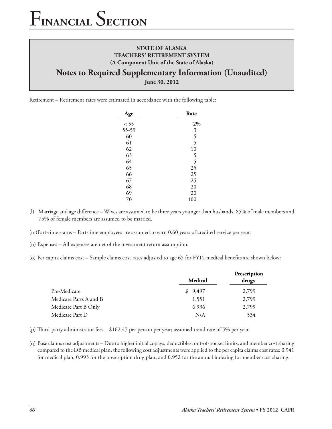# **Notes to Required Supplementary Information (Unaudited) June 30, 2012**

Retirement – Retirement rates were estimated in accordance with the following table:

| Age   | Rate           |
|-------|----------------|
| < 55  | 2%             |
| 55-59 | $\mathfrak{Z}$ |
| 60    | 5              |
| 61    | 5              |
| 62    | 10             |
| 63    | 5              |
| 64    | 5              |
| 65    | 25             |
| 66    | 25             |
| 67    | 25             |
| 68    | 20             |
| 69    | 20             |
| 70    | 100            |

(l) Marriage and age difference – Wives are assumed to be three years younger than husbands. 85% of male members and 75% of female members are assumed to be married.

(m)Part-time status – Part-time employees are assumed to earn 0.60 years of credited service per year.

- (n) Expenses All expenses are net of the investment return assumption.
- (o) Per capita claims cost Sample claims cost rates adjusted to age 65 for FY12 medical benefits are shown below:

|                        | Medical | Prescription<br>drugs |
|------------------------|---------|-----------------------|
| Pre-Medicare           | \$9,497 | 2,799                 |
| Medicare Parts A and B | 1,551   | 2,799                 |
| Medicare Part B Only   | 6.936   | 2,799                 |
| Medicare Part D        | N/A     | 534                   |

- (p) Third-party administrator fees \$162.47 per person per year; assumed trend rate of 5% per year.
- (q) Base claims cost adjustments Due to higher initial copays, deductibles, out-of-pocket limits, and member cost sharing compared to the DB medical plan, the following cost adjustments were applied to the per capita claims cost rates: 0.941 for medical plan, 0.993 for the prescription drug plan, and 0.952 for the annual indexing for member cost sharing.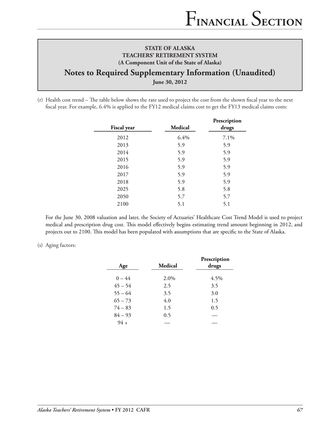# **Notes to Required Supplementary Information (Unaudited)**

**June 30, 2012**

(r) Health cost trend – The table below shows the rate used to project the cost from the shown fiscal year to the next fiscal year. For example, 6.4% is applied to the FY12 medical claims cost to get the FY13 medical claims costs:

| Medical | Prescription<br>drugs |
|---------|-----------------------|
| 6.4%    | 7.1%                  |
| 5.9     | 5.9                   |
| 5.9     | 5.9                   |
| 5.9     | 5.9                   |
| 5.9     | 5.9                   |
| 5.9     | 5.9                   |
| 5.9     | 5.9                   |
| 5.8     | 5.8                   |
| 5.7     | 5.7                   |
| 5.1     | 5.1                   |
|         |                       |

For the June 30, 2008 valuation and later, the Society of Actuaries' Healthcare Cost Trend Model is used to project medical and prescription drug cost. This model effectively begins estimating trend amount beginning in 2012, and projects out to 2100. This model has been populated with assumptions that are specific to the State of Alaska.

(s) Aging factors:

| Age       | Medical | Prescription<br>drugs |
|-----------|---------|-----------------------|
| $0 - 44$  | 2.0%    | 4.5%                  |
| $45 - 54$ | 2.5     | 3.5                   |
| $55 - 64$ | 3.5     | 3.0                   |
| $65 - 73$ | 4.0     | 1.5                   |
| $74 - 83$ | 1.5     | 0.5                   |
| $84 - 93$ | 0.5     |                       |
| $94 +$    |         |                       |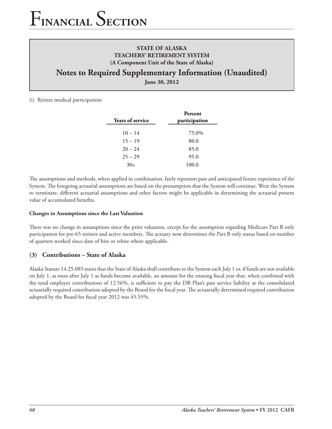# **Notes to Required Supplementary Information (Unaudited)**

**June 30, 2012**

(t) Retiree medical participation:

| <b>Years of service</b> | Percent<br>participation |
|-------------------------|--------------------------|
| $10 - 14$               | 75.0%                    |
| $15 - 19$               | 80.0                     |
| $20 - 24$               | 85.0                     |
| $25 - 29$               | 95.0                     |
| $30+$                   | 100.0                    |

The assumptions and methods, when applied in combination, fairly represent past and anticipated future experience of the System. The foregoing actuarial assumptions are based on the presumption that the System will continue. Were the System to terminate, different actuarial assumptions and other factors might be applicable in determining the actuarial present value of accumulated benefits.

#### **Changes in Assumptions since the Last Valuation**

There was no change in assumptions since the prior valuation, except for the assumption regarding Medicare Part B only participation for pre-65 retirees and active members. The actuary now determines the Part B only status based on number of quarters worked since date of hire or rehire where applicable.

## **(3) Contributions – State of Alaska**

Alaska Statute 14.25.085 states that the State of Alaska shall contribute to the System each July 1 or, if funds are not available on July 1, as soon after July 1 as funds become available, an amount for the ensuing fiscal year that, when combined with the total employer contributions of 12.56%, is sufficient to pay the DB Plan's past service liability at the consolidated actuarially required contribution adopted by the Board for the fiscal year. The actuarially determined required contribution adopted by the Board for fiscal year 2012 was 45.55%.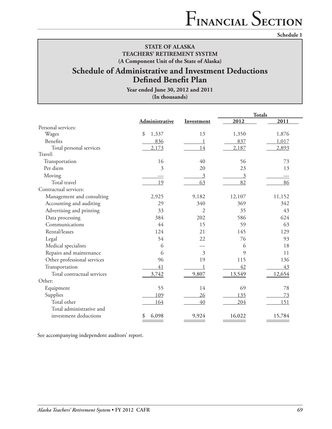**Schedule 1**

#### **STATE OF ALASKA TEACHERS' RETIREMENT SYSTEM (A Component Unit of the State of Alaska)**

# **Schedule of Administrative and Investment Deductions Defined Benefit Plan**

**Year ended June 30, 2012 and 2011 (In thousands)**

|                             |                       |                | <b>Totals</b>  |        |
|-----------------------------|-----------------------|----------------|----------------|--------|
|                             | <b>Administrative</b> | Investment     | 2012           | 2011   |
| Personal services:          |                       |                |                |        |
| Wages                       | \$<br>1,337           | 13             | 1,350          | 1,876  |
| Benefits                    | 836                   |                | 837            | 1,017  |
| Total personal services     | 2,173                 | 14             | 2,187          | 2,893  |
| Travel:                     |                       |                |                |        |
| Transportation              | 16                    | 40             | 56             | 73     |
| Per diem                    | 3                     | 20             | 23             | 13     |
| Moving                      |                       | $\overline{3}$ | $\overline{3}$ |        |
| Total travel                | 19                    | 63             | 82             | 86     |
| Contractual services:       |                       |                |                |        |
| Management and consulting   | 2,925                 | 9,182          | 12,107         | 11,152 |
| Accounting and auditing     | 29                    | 340            | 369            | 342    |
| Advertising and printing    | 33                    | 2              | 35             | 43     |
| Data processing             | 384                   | 202            | 586            | 624    |
| Communications              | 44                    | 15             | 59             | 63     |
| Rental/leases               | 124                   | 21             | 145            | 129    |
| Legal                       | 54                    | 22             | 76             | 93     |
| Medical specialists         | 6                     |                | 6              | 18     |
| Repairs and maintenance     | 6                     | 3              | 9              | 11     |
| Other professional services | 96                    | 19             | 115            | 136    |
| Transportation              | 41                    |                | 42             | 43     |
| Total contractual services  | 3,742                 | 9,807          | 13,549         | 12,654 |
| Other:                      |                       |                |                |        |
| Equipment                   | 55                    | 14             | 69             | 78     |
| Supplies                    | 109                   | <u>26</u>      | 135            | 73     |
| Total other                 | 164                   | 40             | 204            | 151    |
| Total administrative and    |                       |                |                |        |
| investment deductions       | 6,098<br>\$           | 9,924          | 16,022         | 15,784 |
|                             |                       |                |                |        |

See accompanying independent auditors' report.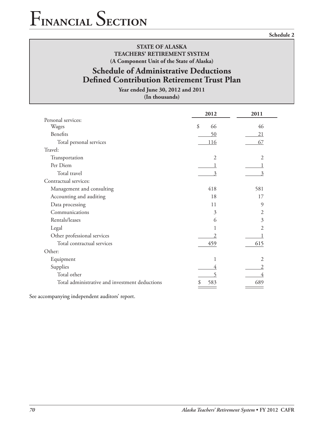**Schedule 2**

### **STATE OF ALASKA TEACHERS' RETIREMENT SYSTEM (A Component Unit of the State of Alaska)**

# **Schedule of Administrative Deductions Defined Contribution Retirement Trust Plan**

**Year ended June 30, 2012 and 2011 (In thousands)**

|                                                | 2012           | 2011           |
|------------------------------------------------|----------------|----------------|
| Personal services:                             |                |                |
| Wages                                          | \$<br>66       | 46             |
| Benefits                                       | 50             | 21             |
| Total personal services                        | 116            | 67             |
| Travel:                                        |                |                |
| Transportation                                 | $\overline{2}$ | $\overline{2}$ |
| Per Diem                                       |                |                |
| Total travel                                   | 3              | 3              |
| Contractual services:                          |                |                |
| Management and consulting                      | 418            | 581            |
| Accounting and auditing                        | 18             | 17             |
| Data processing                                | 11             | 9              |
| Communications                                 | 3              | 2              |
| Rentals/leases                                 | 6              | 3              |
| Legal                                          |                | 2              |
| Other professional services                    |                |                |
| Total contractual services                     | 459            | 615            |
| Other:                                         |                |                |
| Equipment                                      | 1              | 2              |
| Supplies                                       |                |                |
| Total other                                    |                |                |
| Total administrative and investment deductions | 583<br>\$      | 689            |

See accompanying independent auditors' report.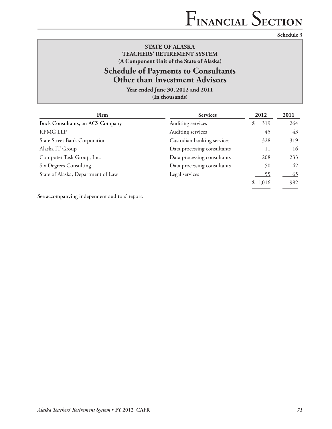**Schedule 3**

## **STATE OF ALASKA TEACHERS' RETIREMENT SYSTEM (A Component Unit of the State of Alaska)**

# **Schedule of Payments to Consultants Other than Investment Advisors**

**Year ended June 30, 2012 and 2011 (In thousands)**

| <b>Services</b>             | 2012 |     | 2011    |
|-----------------------------|------|-----|---------|
| Auditing services           |      | 319 | 264     |
| Auditing services           |      | 45  | 43      |
| Custodian banking services  |      | 328 | 319     |
| Data processing consultants |      | 11  | 16      |
| Data processing consultants |      | 208 | 233     |
| Data processing consultants |      | 50  | 42      |
| Legal services              |      | 55  | 65      |
|                             |      |     | 982     |
|                             |      |     | \$1,016 |

See accompanying independent auditors' report.